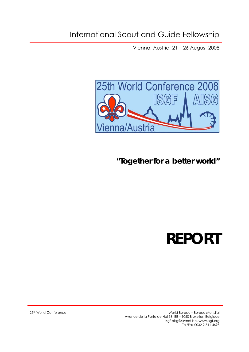Vienna, Austria, 21 – 26 August 2008



*"Together for a better world"*

# **REPORT**

25th World Conference World Bureau – Bureau Mondial Avenue de la Porte de Hal 38, BE – 1060 Bruxelles, Belgique isgf-aisg@skynet.be, www.isgf.org Tel/Fax 0032 2 511 4695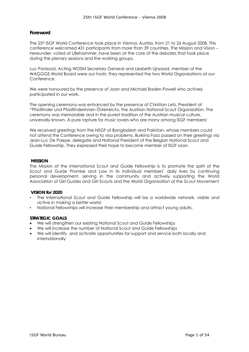# **Foreword**

The 25th ISGF World Conference took place in Vienna, Austria, from 21 to 26 August 2008. This conference welcomed 431 participants from more than 39 countries. The Mission and Vision – hereunder- voted at Lillehammer, have been at the core of the debates that took place during the plenary sessions and the working groups.

Luc Panissod, Acting WOSM Secretary General and Liesbeth Lijnzaad, member of the WAGGGS World Board were our hosts; they represented the two World Organizations at our Conference.

We were honoured by the presence of Joan and Michael Baden-Powell who actively participated in our work.

The opening ceremony was enhanced by the presence of Christian Letz, President of "Pfadfinder und Pfadfinderinnen Österreichs, the Austrian National Scout Organization. The ceremony was memorable and in the purest tradition of the Austrian musical culture, universally known. A pure rapture for music lovers who are many among ISGF members!

We received greetings from the NSGF of Bangladesh and Pakistan, whose members could not attend the Conference owing to visa problems. Burkina Faso passed on their greetings via Jean-Luc De Paepe, delegate and National President of the Belgian National Scout and Guide Fellowship. They expressed their hope to become member of ISGF soon.

#### **MISSION**

The Mission of the International Scout and Guide Fellowship is to promote the spirit of the Scout and Guide Promise and Law in its individual members' daily lives by continuing personal development, serving in the community and actively supporting the World Association of Girl Guides and Girl Scouts and the World Organisation of the Scout Movement

#### **VISION for 2020**

- The International Scout and Guide Fellowship will be a worldwide network, visible and active in making a better world.
- National Fellowships will increase their membership and attract young adults.

#### **STRATEGIC GOALS**

- We will strengthen our existing National Scout and Guide Fellowships
- We will increase the number of National Scout and Guide Fellowships
- We will identify and activate opportunities for support and service both locally and internationally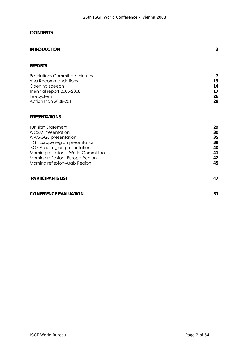# *CONTENTS*

| <b>INTRODUCTION</b> |  |  |
|---------------------|--|--|
|                     |  |  |

#### **REPORTS**

| Resolutions Committee minutes |    |
|-------------------------------|----|
| Visa Recommendations          | 13 |
| Opening speech                | 14 |
| Triennial report 2005-2008    | 17 |
| Fee system                    | 26 |
| Action Plan 2008-2011         | 28 |

# **PRESENTATIONS**

| <b>Tunisian Statement</b>           | 29 |
|-------------------------------------|----|
| <b>WOSM Presentation</b>            | 30 |
| <b>WAGGGS</b> presentation          | 35 |
| ISGF Europe region presentation     | 38 |
| ISGF Arab region presentation       | 40 |
| Morning reflexion - World Committee | 41 |
| Morning reflexion- Europe Region    | 42 |
| Morning reflexion-Arab Region       | 45 |
|                                     |    |
|                                     |    |

| <b>PARTICIPANTS LIST</b> | $\overline{17}$ |
|--------------------------|-----------------|
|                          |                 |

#### **CONFERENCE EVALUATION** 51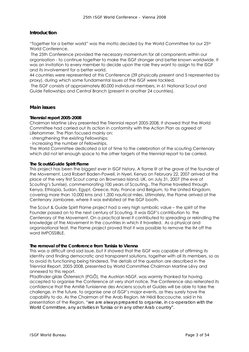# **Introduction**

"Together for a better world" was the motto decided by the World Committee for our 25<sup>th</sup> World Conference.

The 25th Conference provided the necessary momentum for all components within our organisation - to continue together to make the ISGF stronger and better known worldwide. It was an invitation to every member to decide upon the role they want to assign to the ISGF and its involvement for a better world.

44 countries were represented at this Conference (39 physically present and 5 represented by proxy), during which some fundamental issues of the ISGF were tackled.

The ISGF consists of approximately 80.000 individual members, in 61 National Scout and Guide Fellowships and Central Branch (present in another 24 countries).

#### **Main issues**

#### **Triennial report 2005-2008**

Chairman Martine Lévy presented the Triennial report 2005-2008. It showed that the World Committee had carried out its action in conformity with the Action Plan as agreed at Lillehammer. The Plan focused mainly on:

- strengthening the existing Fellowships;

- increasing the number of Fellowships.

The World Committee dedicated a lot of time to the celebration of the scouting Centenary which did not let enough space to the other targets of the triennial report to be carried.

#### **The Scout&Guide Spirit Flame**

This project has been the biggest ever in ISGF history. A flame lit at the grave of the founder of the Movement, Lord Robert Baden-Powell, in Nyeri, Kenya on February 22, 2007 arrived at the place of the very first Scout camp on Brownsea Island, UK, on July 31, 2007 (the eve of Scouting's Sunrise), commemorating 100 years of Scouting,. The Flame travelled through Kenya, Ethiopia, Sudan, Egypt, Greece, Italy, France and Belgium, to the United Kingdom, covering more than 10,000 kms and 1,200 nautical miles. Ultimately, the Flame arrived at the Centenary Jamboree, where it was exhibited at the ISGF booth.

The Scout & Guide Spirit Flame project had a very high symbolic value – the spirit of the Founder passed on to the next century of Scouting. It was ISGF's contribution to the Centenary of the Movement. On a practical level it contributed to spreading or rekindling the knowledge of the Movement in the countries in which it travelled. As a physical and organisational feat, the Flame project proved that it was possible to remove the IM off the word IMPOSSIBLE.

#### **The removal of the Conference from Tunisia to Vienna**

This was a difficult and sad issue, but it showed that the ISGF was capable of affirming its identity and finding democratic and transparent solutions, together with all its members, so as to avoid its functioning being hindered. The details of the question are described in the Triennial Report, 2005-2008, presented by World Committee Chairman Martine Lévy and annexed to this report.

Pfadfinder-gilde Ősterreich (PGŐ), the Austrian NSGF, was warmly thanked for having accepted to organise the Conference at very short notice. The Conference also reiterated its confidence that the Amitié Tunisienne des Anciens scouts et Guides will be able to take the challenge, in the future, to organise one of ISGF's major events, as they surely have the capability to do. As the Chairman of the Arab Region, Mr Hédi Baccouche, said in his presentation of the Region, "*we are always prepared to organise, in co-operation with the World Committee, any activities in Tunisia or in any other Arab country".*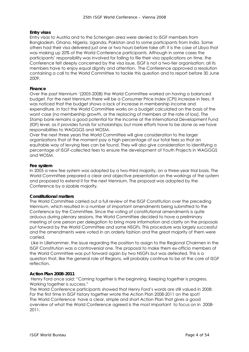#### **Entry visas**

Entry visas to Austria and to the Schengen area were denied to ISGF members from Bangladesh, Ghana, Nigeria, Uganda, Pakistan and to some participants from India. Some others had their visa delivered just one or two hours before take off: it is the case of Libya that was making up 20% of the World Conference participants. Although in some cases the participants' responsibility was involved for failing to file their visa applications on time, the Conference felt deeply concerned by the visa issue. ISGF is not a two-tier organisation: all its members have to enjoy equal dignity and attention. The Conference approved a resolution containing a call to the World Committee to tackle this question and to report before 30 June 2009.

#### **Finance**

Over the past triennium '(2005-2008) the World Committee worked on having a balanced budget. For the next triennium there will be a Consumer Price Index (CPI) increase in fees. It was noticed that the budget shows a lack of increase in membership income and expenditure. In fact the World Committee works on a budget calculated on the basis of the worst case (no membership growth, or the replacing of members at the rate of loss). The Stamp bank remains a good potential for the income at the International Development Fund (IDF) level, as it provides funds for scholarships; but more efforts have to be done as we have responsibilities to WAGGGS and WOSM.

Over the next three years the World Committee will give consideration to the larger organizations that at the moment pay a high percentage of our total fees so that an equitable way of levying fees can be found. They will also give consideration to identifying a percentage of ISGF-collected fees to ensure the development of Youth Projects in WAGGGS and WOSM.

#### **Fee system**

In 2005 a new fee system was adopted by a two-third majority, on a three-year trial basis. The World Committee prepared a clear and objective presentation on the workings of the system and proposed to extend it for the next triennium. The proposal was adopted by the Conference by a sizable majority.

#### **Constitutional matters**

The World Committee carried out a full review of the ISGF Constitution over the preceding triennium, which resulted in a number of important amendments being submitted to the Conference by the Committee. Since the voting of constitutional amendments is quite arduous during plenary sessions, the World Committee decided to have a preliminary meeting of one person per delegation to bring more information and clarity on the proposals put forward by the World Committee and some NSGFs. This procedure was largely successful and the amendments were voted in an orderly fashion and the great majority of them were carried.

Like in Lillehammer, the issue regarding the position to assign to the Regional Chairmen in the ISGF Constitution was a controversial one. The proposal to make them ex-officio members of the World Committee was put forward again by two NSGFs but was defeated. This is a question that, like the general role of Regions, will probably continue to be at the core of ISGF reflection.

#### **Action Plan 2008-2011**

 Henry Ford once said: "Coming together is the beginning. Keeping together is progress. Working together is success."

The World Conference participants showed that Henry Ford's words are still valued in 2008: For the first time in ISGF history together wrote the Action Plan 2008-2011 on the spot! The World Conference have a clear, simple and short Action Plan that gives a good overview of what the World Conference agreed is the most important to focus on in 2008- 2011.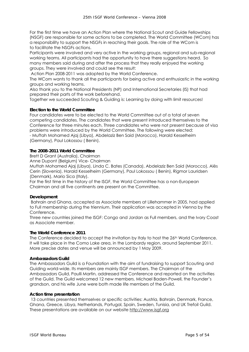For the first time we have an Action Plan where the National Scout and Guide Fellowships (NSGF) are responsible for some actions to be completed. The World Committee (WCom) has a responsibility to support the NSGFs in reaching their goals. The role of the WCom is to facilitate the NSGFs actions.

Participants were involved and very active in the working groups, regional and sub-regional working teams. All participants had the opportunity to have there suggestions heard. So many members said during and after the process that they really enjoyed the working groups. They were involved and could see the result:

Action Plan 2008-2011 was adopted by the World Conference.

The WCom wants to thank all the participants for being active and enthusiastic in the working groups and working teams.

Also thank you to the National Presidents (NP) and International Secretaries (IS) that had prepared their parts of the work beforehand.

Together we succeeded Scouting & Guiding is: Learning by doing with limit resources!

#### **Election to the World Committee**

Four candidates were to be elected to the World Committee out of a total of seven competing candidates. The candidates that were present introduced themselves to the Conference for three minutes each. Three candidates who were not present because of visa problems were introduced by the World Committee. The following were elected: - Muftah Mohamed Ajaj (Libya), Abdelaziz Ben Said (Morocco), Harald Kesselheim (Germany), Paul Lokossou ( Benin).

#### **The 2008-2011 World Committee**

Brett D Grant (Australia), Chairman

Anne Dupont (Belgium) Vice- Chairman

Muftah Mohamed Ajaj (Libya), Linda C. Bates (Canada), Abdelaziz Ben Said (Morocco), Alès Cerin (Slovenia), Harald Kesselheim (Germany), Paul Lokossou ( Benin), Rigmor Lauridsen (Denmark), Mario Sica (Italy).

For the first time in the history of the ISGF, the World Committee has a non-European Chairman and all five continents are present on the Committee.

#### **Development**

Bahrain and Ghana, accepted as Associate members at Lillehammer in 2005, had applied to Full membership during the triennium. Their application was accepted in Vienna by the Conference.

Three new countries joined the ISGF: Congo and Jordan as Full members, and the Ivory Coast as Associate member.

#### **The World Conference 2011**

The Conference decided to accept the invitation by Italy to host the 26<sup>th</sup> World Conference. It will take place in the Como Lake area, in the Lombardy region, around September 2011. More precise dates and venue will be announced by 1 May 2009.

#### **Ambassadors Guild**

The Ambassadors Guild is a Foundation with the aim of fundraising to support Scouting and Guiding world-wide. Its members are mainly ISGF members. The Chairman of the Ambassadors Guild, Paulli Martin, addressed the Conference and reported on the activities of the Guild. The Guild welcomed 12 new members. Michael Baden-Powell, the Founder's grandson, and his wife June were both made life members of the Guild.

#### **Action time presentation**

 13 countries presented themselves or specific activities: Austria, Bahrain, Denmark, France, Ghana, Greece, Libya, Netherlands, Portugal, Spain, Sweden, Tunisia, and UK Trefoil Guild. These presentations are available on our website http://www.isgf.org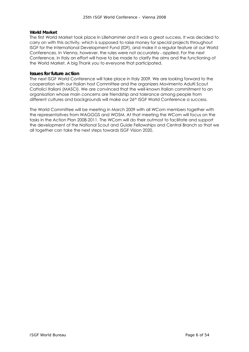## **World Market**

The first World Market took place in Lillehammer and it was a great success. It was decided to carry on with this activity, which is supposed to raise money for special projects throughout ISGF for the International Development Fund (IDF), and make it a regular feature at our World Conferences. In Vienna, however, the rules were not accurately - applied. For the next Conference, in Italy an effort will have to be made to clarify the aims and the functioning of the World Market. A big Thank you to everyone that participated.

#### **Issues for future action**

The next ISGF World Conference will take place in Italy 2009. We are looking forward to the cooperation with our Italian host Committee and the organizers Movimento Adulti Scout Cattolici Italiani (MASCI). We are convinced that the well-known Italian commitment to an organisation whose main concerns are friendship and tolerance among people from different cultures and backgrounds will make our 26th ISGF World Conference a success.

The World Committee will be meeting in March 2009 with all WCom members together with the representatives from WAGGGS and WOSM. At that meeting the WCom will focus on the tasks in the Action Plan 2008-2011. The WCom will do their outmost to facilitate and support the development of the National Scout and Guide Fellowships and Central Branch so that we all together can take the next steps towards ISGF Vision 2020.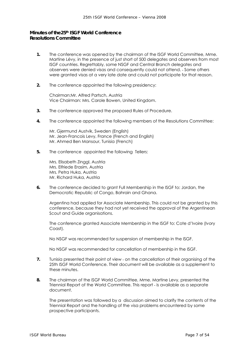# **Minutes of the25th ISGF World Conference**  *Resolutions Committee*

- **1.** The conference was opened by the chairman of the ISGF World Committee, Mme. Martine Lévy, in the presence of just short of 500 delegates and observers from most ISGF countries. Regrettably, some NSGF and Central Branch delegates and observers were denied visas and consequently could not attend. - Some others were granted visas at a very late date and could not participate for that reason.
- **2.** The conference appointed the following presidency:

Chairman:Mr. Alfred Partsch, Austria Vice Chairman: Mrs. Carole Bowen, United Kingdom.

- **3.** The conference approved the proposed Rules of Procedure.
- **4.** The conference appointed the following members of the Resolutions Committee:

Mr. Gjermund Austvik, Sweden (English) Mr. Jean-Francois Levy, France (French and English) Mr. Ahmed Ben Mansour, Tunisia (French)

**5.** The conference appointed the following Tellers:

Mrs. Elisabeth Zinggl, Austria Mrs. Elfriede Erasim, Austria Mrs. Petra Huka, Austria Mr. Richard Huka, Austria

**6.** The conference decided to grant Full Membership in the ISGF to: Jordan, the Democratic Republic of Congo, Bahrain and Ghana.

Argentina had applied for Associate Membership. This could not be granted by this conference, because they had not yet received the approval of the Argentinean Scout and Guide organisations.

The conference granted Associate Membership in the ISGF to: Cote d'Ivoire (Ivory Coast).

No NSGF was recommended for suspension of membership in the ISGF.

No NSGF was recommended for cancellation of membership in the ISGF.

- **7.** Iunisia presented their point of view on the cancellation of their organising of the 25th ISGF World Conference. Their document will be available as a supplement to these minutes.
- **8.** The chairman of the ISGF World Committee, Mme. Martine Levy, presented the Triennial Report of the World Committee. This report - is available as a separate document.

The presentation was followed by a discussion aimed to clarify the contents of the Triennial Report and the handling of the visa problems encountered by some prospective participants.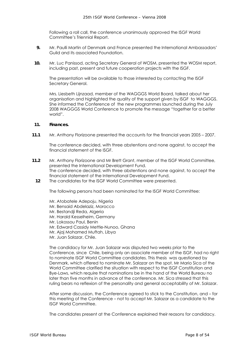Following a roll call, the conference unanimously approved the ISGF World Committee's Triennial Report.

- **9.** Mr. Paulli Martin of Denmark and France presented the International Ambassadors' Guild and its associated Foundation.
- **10.** Mr. Luc Panissod, acting Secretary General of WOSM, presented the WOSM report, including past, present and future cooperation projects with the ISGF.

The presentation will be available to those interested by contacting the ISGF Secretary General.

Mrs. Liesbeth Lijnzaad, member of the WAGGGS World Board, talked about her organisation and highlighted the quality of the support given by ISGF to WAGGGS. She informed the Conference of the new programmes launched during the July 2008 WAGGGS World Conference to promote the message "together for a better world".

#### **11. Finances.**

**11.1** Mr. Anthony Florizoone presented the accounts for the financial years 2005 – 2007.

The conference decided, with three abstentions and none against, to accept the financial statement of the ISGF.

- **11.2** Mr. Anthony Florizoone and Mr Brett Grant, member of the ISGF World Committee, presented the International Development Fund. The conference decided, with three abstentions and none against, to accept the financial statement of the International Development Fund.
	- **12** The candidates for the ISGF World Committee were presented.

The following persons had been nominated for the ISGF World Committee:

- Mr. Atobatele Adepoju, Nigeria
- Mr. Bensaid Abdelaziz, Morocco
- Mr. Bestandji Reda, Algeria
- Mr. Harald Kesselheim, Germany
- Mr. Lokossou Paul, Benin
- Mr. Edward Cassidy Mettle-Nunoo, Ghana
- Mr. Ajaj Mohamed Muftah, Libya
- Mr. Juan Salazar, Chile.

The candidacy for Mr. Juan Salazar was disputed two weeks prior to the Conference, since Chile, being only an associate member of the ISGF, had no right to nominate ISGF World Committee candidates. This thesis was questioned by Denmark, which offered to nominate Mr. Salazar on the spot. Mr Mario Sica of the World Committee clarified the situation with respect to the ISGF Constitution and Bye-Laws, which require that nominations be in the hand of the World Bureau no later than five months in advance of the conference. Mr. Sica stressed that this ruling bears no reflexion of the personality and general acceptability of Mr. Salazar.

After some discussion, the Conference agreed to stick to the Constitution, and – for this meeting of the Conference – not to accept Mr. Salazar as a candidate to the ISGF World Committee.

The candidates present at the Conference explained their reasons for candidacy.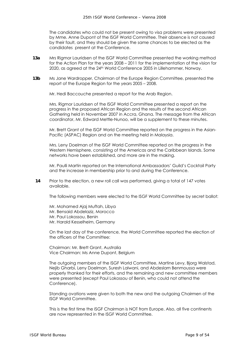The candidates who could not be present owing to visa problems were presented by Mme. Anne Dupont of the ISGF World Committee. Their absence is not caused by their fault, and they should be given the same chances to be elected as the candidates present at the Conference.

- **13a** Mrs Rigmor Lauridsen of the ISGF World Committee presented the working method for the Action Plan for the years 2008 – 2011 for the implementation of the vision for 2020, as agreed at the 24th World Conference 2005 in Lillehammer, Norway.
- **13b** Ms Jane Wardropper, Chairman of the Europe Region Committee, presented the report of the Europe Region for the years 2005 – 2008.

Mr. Hedi Baccouche presented a report for the Arab Region.

Mrs. Rigmor Lauridsen of the ISGF World Committee presented a report on the progress in the proposed African Region and the results of the second African Gathering held in November 2007 in Accra, Ghana. The message from the African coordinator, Mr. Edward Mettle-Nunoo, will be a supplement to these minutes.

Mr. Brett Grant of the ISGF World Committee reported on the progress in the Asian-Pacific (ASPAC) Region and on the meeting held in Malaysia.

Mrs. Leny Doelman of the ISGF World Committee reported on the progress in the Western Hemisphere, consisting of the Americas and the Caribbean Islands. Some networks have been established, and more are in the making.

Mr. Paulli Martin reported on the International Ambassadors' Guild's Cocktail Party and the increase in membership prior to and during the Conference.

**14** Prior to the election, a new roll call was performed, giving a total of 147 votes available.

The following members were elected to the ISGF World Committee by secret ballot:

Mr. Mohamed Ajaj Muftah, Libya Mr. Bensaid Abdelaziz, Morocco Mr. Paul Lokossou, Benin Mr. Harald Kesselheim, Germany

On the last day of the conference, the World Committee reported the election of the officers of the Committee:

Chairman: Mr. Brett Grant, Australia Vice Chairman: Ms Anne Dupont, Belgium

The outgoing members of the ISGF World Committee, Martine Levy, Bjorg Walstad, Nejib Gharbi, Leny Doelman, Suresh Lalwani, and Abdeslam Benmoussa were properly thanked for their efforts, and the remaining and new committee members were presented (except Paul Lokossou of Benin, who could not attend the Conference).

Standing ovations were given to both the new and the outgoing Chairmen of the ISGF World Committee.

This is the first time the ISGF Chairman is NOT from Europe. Also, all five continents are now represented in the ISGF World Committee.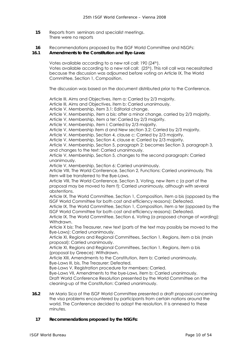- **15** Reports from seminars and specialist meetings. There were no reports
- **16** Recommendations proposed by the ISGF World Committee and NSGFs:

#### **16.1 Amendments to the Constitution and Bye-Laws:**

Votes available according to a new roll call: 190 (24<sup>th</sup>). Votes available according to a new roll call:  $(25<sup>th</sup>)$ . This roll call was necessitated because the discussion was adjourned before voting on Article IX, The World Committee, Section 1, Composition.

The discussion was based on the document distributed prior to the Conference.

Article III, Aims and Objectives, item a: Carried by 2/3 majority.

Article III, Aims and Objectives, item b: Carried unanimously.

Article V, Membership, item 3.1: Editorial change.

Article V, Membership, item a bis: after a minor change, carried by 2/3 majority.

Article V, Membership, item a ter: Carried by 2/3 majority.

Article V, Membership, item i: Carried by 2/3 majority.

Article V, Membership item d and New section 3.2: Carried by 2/3 majority.

Article V, Membership, Section 4, clause c: Carried by 2/3 majority.

Article V, Membership, Section 4, clause e: Carried by 2/3 majority.

Article V, Membership, Section 5, paragraph 2: becomes Section 3, paragraph 3, and changes to the text: Carried unanimously.

Article V, Membership, Section 5, changes to the second paragraph: Carried unanimously.

Article V, Membership, Section 6: Carried unanimously.

Article VIII, The World Conference, Section 2, Functions: Carried unanimously. This item will be transferred to the Bye-Laws.

Article VIII, The World Conference, Section 3, Voting, new item c (a part of the proposal may be moved to item f): Carried unanimously, although with several abstentions.

Article IX, The World Committee, Section 1, Composition, item a bis (opposed by the ISGF World Committee for both cost and efficiency reasons): Defeated.

Article IX, The World Committee, Section 1, Composition, item a ter (opposed by the ISGF World Committee for both cost and efficiency reasons): Defeated.

Article IX, The World Committee, Section 6, Voting (a proposed change of wording): Withdrawn.

Article X bis: The Treasurer, new text (parts of the text may possibly be moved to the Bye-Laws): Carried unanimously.

Article XI, Regions and Regional Committees, Section 1, Regions, item a bis (main proposal): Carried unanimously.

Article XI, Regions and Regional Committees, Section 1, Regions, item a bis (proposal by Greece): Withdrawn.

Article XIII, Amendments to the Constitution, item b: Carried unanimously. Bye-Laws III, bis, The Treasurer: Defeated.

Bye-Laws V, Registration procedure for members: Carried.

Bye-Laws VII, Amendments to the bye-Laws, item b: Carried unanimously. Draft World Conference Resolution presented by the World Committee on the cleaning-up of the Constitution: Carried unanimously.

**16.2** Mr Mario Sica of the ISGF World Committee presented a draft proposal concerning the visa problems encountered by participants from certain nations around the world. The Conference decided to adopt the resolution. It is annexed to these minutes.

#### **17 Recommendations proposed by the NSGFs:**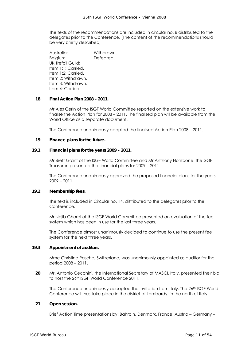The texts of the recommendations are included in circular no. 8 distributed to the delegates prior to the Conference. [The content of the recommendations should be very briefly described]

Australia: Withdrawn. Belgium: Defeated. UK Trefoil Guild: Item 1:1: Carried. Item 1:2: Carried. Item 2: Withdrawn. Item 3: Withdrawn. Item 4: Carried.

#### **18 Final Action Plan 2008 – 2011.**

Mr Ales Cerin of the ISGF World Committee reported on the extensive work to finalise the Action Plan for 2008 – 2011. The finalised plan will be available from the World Office as a separate document.

The Conference unanimously adopted the finalised Action Plan 2008 – 2011.

#### **19 Finance plans for the future.**

#### **19.1 Financial plans for the years 2009 – 2011.**

Mr Brett Grant of the ISGF World Committee and Mr Anthony Florizoone, the ISGF Treasurer, presented the financial plans for 2009 – 2011.

The Conference unanimously approved the proposed financial plans for the years 2009 – 2011.

#### **19.2 Membership fees.**

The text is included in Circular no. 14, distributed to the delegates prior to the Conference.

Mr Nejib Gharbi of the ISGF World Committee presented an evaluation of the fee system which has been in use for the last three years.

The Conference almost unanimously decided to continue to use the present fee system for the next three years.

#### **19.3 Appointment of auditors.**

Mme Christine Pasche, Switzerland, was unanimously appointed as auditor for the period 2008 – 2011.

**20** Mr. Antonio Cecchini, the International Secretary of MASCI, Italy, presented their bid to host the 26th ISGF World Conference 2011.

The Conference unanimously accepted the invitation from Italy. The 26th ISGF World Conference will thus take place in the district of Lombardy, in the north of Italy.

#### **21 Open session.**

Brief Action Time presentations by: Bahrain, Denmark, France, Austria – Germany –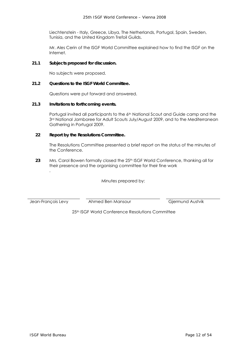Liechtenstein - Italy, Greece, Libya, The Netherlands, Portugal, Spain, Sweden, Tunisia, and the United Kingdom Trefoil Guilds.

Mr. Ales Cerin of the ISGF World Committee explained how to find the ISGF on the Internet.

#### **21.1 Subjects proposed for discussion.**

No subjects were proposed.

#### **21.2 Questions to the ISGF World Committee.**

Questions were put forward and answered.

#### **21.3 Invitations to forthcoming events.**

Portugal invited all participants to the 6<sup>th</sup> National Scout and Guide camp and the 3rd National Jamboree for Adult Scouts July/August 2009, and to the Mediterranean Gathering in Portugal 2009.

#### **22 Report by the Resolutions Committee.**

The Resolutions Committee presented a brief report on the status of the minutes of the Conference.

**23** Mrs. Carol Bowen formally closed the 25th ISGF World Conference, thanking all for their presence and the organising committee for their fine work .

Minutes prepared by:

Jean-François Levy Ahmed Ben Mansour Gjermund Austvik

25th ISGF World Conference Resolutions Committee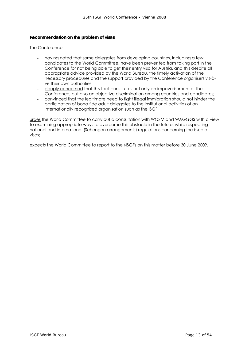#### **Recommendation on the problem of visas**

The Conference

- having noted that some delegates from developing countries, including a few candidates to the World Committee, have been prevented from taking part in the Conference for not being able to get their entry visa for Austria, and this despite all appropriate advice provided by the World Bureau, the timely activation of the necessary procedures and the support provided by the Conference organisers vis-àvis their own authorities;
- deeply concerned that this fact constitutes not only an impoverishment of the Conference, but also an objective discrimination among countries and candidates;
- convinced that the legitimate need to fight illegal immigration should not hinder the participation of bona fide adult delegates to the institutional activities of an internationally recognised organisation such as the ISGF,

urges the World Committee to carry out a consultation with WOSM and WAGGGS with a view to examining appropriate ways to overcome this obstacle in the future, while respecting national and international (Schengen arrangements) regulations concerning the issue of visas;

expects the World Committee to report to the NSGFs on this matter before 30 June 2009.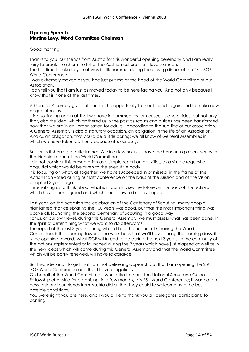# **Opening Speech**  *Martine Levy, World Committee Chairman*

Good morning,

Thanks to you, our friends from Austria for this wonderful opening ceremony and I am really sorry to break the charm so full of the Austrian culture that I love so much.

The last time I spoke to you all was in Lillehammer during the closing dinner of the 24th ISGF World Conference.

I was extremely moved as you had just put me at the head of the World Committee of our Association.

I can tell you that I am just as moved today to be here facing you. And not only because I know that is it one of the last times.

A General Assembly gives, of course, the opportunity to meet friends again and to make new acquaintances.

It is also finding again all that we have in common, as former scouts and guides; but not only that, also the ideal which gathered us in the past as scouts and guides has been transformed now that we are in an "organisation for adults", according to the sub-title of our association. A General Assembly is also a statutory occasion, an obligation in the life of an Association. And as an obligation, that could be a little boring; we all know of General Assemblies in which we have taken part only because it is our duty.

But for us it should go quite further. Within a few hours I'll have the honour to present you with the triennial report of the World Committee.

I do not consider this presentation as a simple report on activities, as a simple request of acquittal which would be given to the executive body.

It is focusing on what, all together, we have succeeded in or missed, in the frame of the Action Plan voted during our last conference on the basis of the Mission and of the Vision adopted 3 years ago.

It is enabling us to think about what is important, i.e. the future on the basis of the actions which have been agreed and which need now to be developed.

Last year, on the occasion the celebration of the Centenary of Scouting, many people highlighted that celebrating the 100 years was good, but that the most important thing was, above all, launching the second Centenary of Scouting in a good way.

For us, at our own level, during this General Assembly, we must assess what has been done, in the spirit of determining what we want to do afterwards.

The report of the last 3 years, during which I had the honour of Chairing the World Committee, is the opening towards the workshops that we'll have during the coming days, it is the opening towards what ISGF will intend to do during the next 3 years, in the continuity of the actions implemented or launched during the 3 years which have just elapsed as well as in the new ideas which will come during this General Assembly and that the World Committee, which will be partly renewed, will have to catalyse.

But I wander and I forget that I am not delivering a speech but that I am opening the 25<sup>th</sup> ISGF World Conference and that I have obligations.

On behalf of the World Committee, I would like to thank the National Scout and Guide Fellowship of Austria for organising, in a few months, this 25<sup>th</sup> World Conference; it was not an easy task and our friends from Austria did all that they could to welcome us in the best possible conditions.

You were right; you are here, and I would like to thank you all, delegates, participants for coming.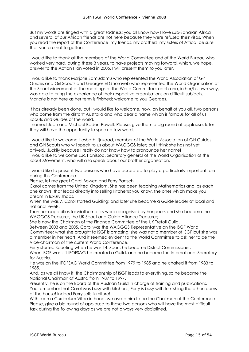But my words are tinged with a great sadness; you all know how I love sub-Saharan Africa and several of our African friends are not here because they were refused their visas. When you read the report of the Conference, my friends, my brothers, my sisters of Africa, be sure that you are not forgotten.

I would like to thank all the members of the World Committee and of the World Bureau who worked very hard, during these 3 years, to have projects moving forward, which, we hope, answer to the Action Plan voted in 2005. I will present them to you later.

I would like to thank Marjorie Samudzimu who represented the World Association of Girl Guides and Girl Scouts and Georges El Ghorayeb who represented the World Organisation of the Scout Movement at the meetings of the World Committee; each one, in her/his own way, was able to bring the experience of their respective organisations on difficult subjects. Mariorie is not here as her term is finished; welcome to you Georges.

It has already been done, but I would like to welcome, now, on behalf of you all, two persons who come from the distant Australia and who bear a name which is famous for all of us Scouts and Guides of the world.

I named Joan and Michael Baden-Powell. Please, give them a big round of applause; later they will have the opportunity to speak a few words.

I would like to welcome Liesbeth Lijnzaad, member of the World Association of Girl Guides and Girl Scouts who will speak to us about WAGGGS later; but I think she has not yet arrived…luckily because I really do not know how to pronounce her name! I would like to welcome Luc Panissod, Secretary general of the World Organisation of the Scout Movement, who will also speak about our brother organisation.

I would like to present two persons who have accepted to play a particularly important role during this Conference.

Please, let me greet Carol Bowen and Ferry Partsch.

Carol comes from the United Kingdom. She has been teaching Mathematics and, as each one knows, that leads directly into selling kitchens; you know, the ones which make you dream in luxury shops.

When she was 7, Carol started Guiding; and later she became a Guide leader at local and national levels.

Then her capacities for Mathematics were recognised by her peers and she became the WAGGGS Treasurer, the UK Scout and Guide Alliance Treasurer;

She is now the Chairman of the Finance Committee of the UK Trefoil Guild.

Between 2003 and 2005, Carol was the WAGGGS Representative on the ISGF World Committee; what she brought to ISGF is amazing; she was not a member of ISGF but she was a member in her heart. And it seemed evident to the World Committee to ask her to be the Vice-chairman of the current World Conference.

Ferry started Scouting when he was 14. Soon, he became District Commissioner. When ISGF was still IFOFSAG he created a Guild, and he became the International Secretary for Austria.

He was on the IFOFSAG World Committee from 1979 to 1985 and he chaired it from 1983 to 1985.

And, as we all know it, the Chairmanship of ISGF leads to everything, so he became the National Chairman of Austria from 1987 to 1997.

Presently, he is on the Board of the Austrian Guild in charge of training and publications. You remember that Carol was busy with kitchens; Ferry is busy with furnishing the other rooms of the house! Indeed Ferry sells furniture!

With such a Curriculum Vitae in hand, we asked him to be the Chairman of the Conference. Please, give a big round of applause to those two persons who will have the most difficult task during the following days as we are not always very disciplined.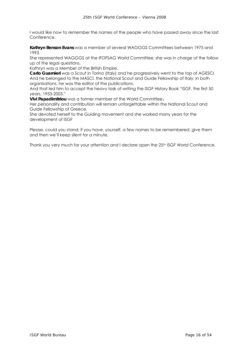I would like now to remember the names of the people who have passed away since the last Conference.

**Kathryn Benson Evans** was a member of several WAGGGS Committees between 1975 and 1993.

She represented WAGGGS at the IFOFSAG World Committee; she was in charge of the follow up of the legal questions.

Kathryn was a Member of the British Empire.

**Carlo Guarnieri** was a Scout in Torino (Italy) and he progressively went to the top of AGESCI. And he belonged to the MASCI, the National Scout and Guide Fellowship of Italy. In both organisations, he was the editor of the publications.

And that led him to accept the heavy task of writing the ISGF History Book "ISGF, the first 50 years, 1953-2003."

**Vivi Papadimitriou** was a former member of the World Committee**.** 

Her personality and contribution will remain unforgettable within the National Scout and Guide Fellowship of Greece.

She devoted herself to the Guiding movement and she worked many years for the development of ISGF

Please, could you stand; if you have, yourself, a few names to be remembered, give them and then we'll keep silent for a minute.

Thank you very much for your attention and I declare open the 25<sup>th</sup> ISGF World Conference.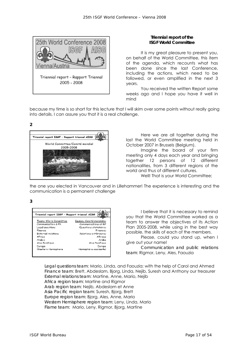

## **Triennial report of the ISGF World Committee**

It is my great pleasure to present you, on behalf of the World Committee, this item of the agenda, which recounts what has been done since the last Conference, including the actions, which need to be followed, or even amplified in the next 3 years.

You received the written Report some weeks ago and I hope you have it well in mind

because my time is so short for this lecture that I will skim over some points without really going into details. I can assure you that it is a real challenge.

**2** 



Here we are all together during the last the World Committee meeting held in October 2007 in Brussels (Belgium).

Imagine the board of your firm meeting only 4 days each year and bringing together 12 persons of 12 different nationalities, from 3 different regions of the world and thus of different cultures.

Well! That is your World Committee;

the one you elected in Vancouver and in Lillehammer! The experience is interesting and the communication is a permanent challenge

**3** 

| Triannial report ISGF - Rapport triannal AISG (C) |                          |  |  |  |
|---------------------------------------------------|--------------------------|--|--|--|
| Toams World Committee                             | Equipos Comitó mondiales |  |  |  |
| Communication & PR                                | Communications et RP.    |  |  |  |
| Legal questions.                                  | Questions statutaires    |  |  |  |
| Finance                                           | Financias                |  |  |  |
| External relations                                | Relations extérieures    |  |  |  |
| Africa                                            | Afrique                  |  |  |  |
| Arabia                                            | Arabo                    |  |  |  |
| Asia Pacifique.                                   | Asia Posifique           |  |  |  |
| Curope                                            | Europe                   |  |  |  |
| Wastern Hamisbhera                                | Hámisbhéra occidental    |  |  |  |

I believe that it is necessary to remind you that the World Committee worked as a team to answer the objectives of its Action Plan 2005-2008, while using in the best way possible, the skills of each of the members.

Please, could you stand up, when I give out your name!

*Communication and public relations team*: Rigmor, Leny, Ales, Faouzia

*Legal questions team*: Mario, Linda, and Faouzia; with the help of Carol and Ahmed *Finance team*: Brett, Abdeslam, Bjorg, Linda, Nejib, Suresh and Anthony our treasurer *External relations team*: Martine, Anne, Mario, Nejib *Africa region team*: Martine and Rigmor *Arab region team*: Nejib, Abdeslam et Anne *Asia Pacific region team*: Suresh, Bjorg, Brett *Europe region team:* Bjorg, Ales, Anne, Mario *Western Hemisphere region team*: Leny, Linda, Mario *Flame team*: Mario, Leny, Rigmor, Bjorg, Martine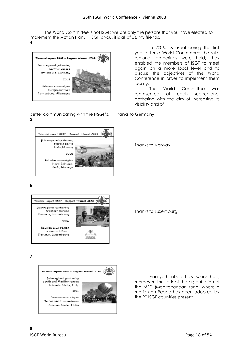The World Committee is not ISGF; we are only the persons that you have elected to implement the Action Plan. ISGF is you, it is all of us, my friends.



In 2006, as usual during the first year after a World Conference the subregional gatherings were held; they enabled the members of ISGF to meet again on a more local level and to discuss the objectives of the World Conference in order to implement them locally.

The World Committee was represented at each sub-regional gathering with the aim of increasing its visibility and of

better communicating with the NSGF's. Thanks to Germany **5** 



Thanks to Norway

**6** 

**4** 



Thanks to Luxemburg

**7** 



Finally, thanks to Italy, which had, moreover, the task of the organisation of the MED (Mediterranean zone) where a motion on Peace has been adopted by the 20 ISGF countries present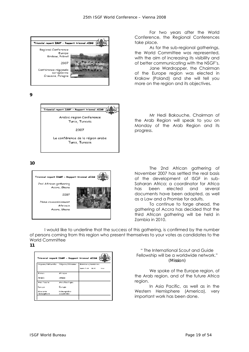

**9** 



La conférence de la région arabe Tunis, Tunesie

**10** 



For two years after the World Conference, the Regional Conferences take place.

As for the sub-regional gatherings, the World Committee was represented, with the aim of increasing its visibility and of better communicating with the NSGF's.

Jane Wardropper, the Chairman of the Europe region was elected in Krakow (Poland) and she will tell you more on the region and its objectives.

Mr Hedi Bakouche, Chairman of the Arab Region will speak to you on Monday of the Arab Region and its progress.

The 2nd African gathering of November 2007 has settled the real basis of the development of ISGF in sub-Saharan Africa; a coordinator for Africa has been elected and several documents have been adopted, as well as a Law and a Promise for adults.

To continue to forge ahead, the gathering of Accra has decided that the third African gathering will be held in Zambia in 2010.

I would like to underline that the success of this gathering, is confirmed by the number of persons coming from this region who present themselves to your votes as candidates to the World Committee **11** 

|                                      | Triannial report ISOF - Repport triannel 4ISO |                                     |
|--------------------------------------|-----------------------------------------------|-------------------------------------|
| ResponsyFdetwortes ResponsyFakewatte |                                               | Mainber-s/mambries                  |
|                                      |                                               | Name (ALAM - GM/RS)<br><b>Later</b> |
| Almes                                | Alma e.                                       |                                     |
| Anabic                               | Arcbe                                         |                                     |
| Avres Pracadores                     | Asis Positique                                |                                     |
| Curvue                               | Europe                                        |                                     |
| Were lights.<br>Hemephere.           | <b>Elémesptekne</b><br>accudental             |                                     |

" The International Scout and Guide Fellowship will be a worldwide network." *(Mission)* 

We spoke of the Europe region, of the Arab region, and of the future Africa region.

In Asia Pacific, as well as in the Western Hemisphere (America), very important work has been done.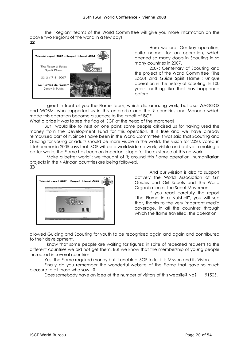The "Region" teams of the World Committee will give you more information on the above two Regions of the world in a few days. **12** 



Here we are! Our key operation; quite normal for an operation, which opened so many doors in Scouting in so many countries in 2007.

2007: Centenary of Scouting and the project of the World Committee "The Scout and Guide Spirit Flame"; unique operation in the history of Scouting. In 100 years, nothing like that has happened before

I greet in front of you the Flame team, which did amazing work, but also WAGGGS and WOSM, who supported us in this enterprise and the 9 countries and Monaco which made this operation become a success to the credit of ISGF.

What a pride it was to see the flag of ISGF at the head of the marchers!

But I would like to insist on one point; some people criticised us for having used the money from the Development Fund for this operation. It is true and we have already reimbursed part of it. Since I have been in the World Committee it was said that Scouting and Guiding for young or adults should be more visible in the world. The vision for 2020, voted in Lillehammer in 2005 says that ISGF will be a worldwide network, visible and active in making a better world; the Flame has been an important stage for the existence of this network.

"Make a better world": we thought of it; around this Flame operation, humanitarian projects in the 4 African countries are being followed. **13** 



And our Mission is also to support actively the World Association of Girl Guides and Girl Scouts and the World Organisation of the Scout Movement.

If you read carefully the report "the Flame in a Nutshell", you will see that, thanks to the very important media coverage, in all the countries through which the flame travelled, the operation

allowed Guiding and Scouting for youth to be recognised again and again and contributed to their development.

I know that some people are waiting for figures; in spite of repeated requests to the different countries we did not get them. But we know that the membership of young people increased in several countries.

Yes! the Flame required money but it enabled ISGF to fulfil its Mission and its Vision.

Finally do you remember the wonderful website of the Flame that gave so much pleasure to all those who saw it?

Does somebody have an idea of the number of visitors of this website? No? 91505.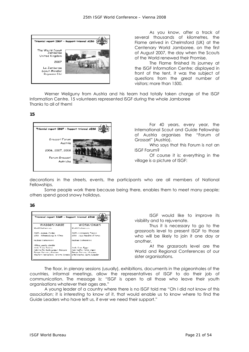

As you know, after a track of several thousands of kilometres, the Flame arrived in Chelmsford (UK) at the Centenary World Jamboree, on the first of August 2007, the day when the Scouts of the World renewed their Promise.

The Flame finished its journey at the ISGF Information Centre; displayed in front of the tent, it was the subject of questions from the great number of visitors; more than 1500.

Werner Weilguny from Austria and his team had totally taken charge of the ISGF Information Centre. 15 volunteers represented ISGF during the whole Jamboree Thanks to all of them!

**15** 



For 40 years, every year, the International Scout and Guide Fellowship of Austria organises the "Forum of Grossarl" (Austria).

Who says that this Forum is not an ISGF Forum?

Of course it is: everything in the village is a picture of ISGF:

decorations in the streets, events, the participants who are all members of National Fellowships.

Some people work there because being there, enables them to meet many people; others spend good snowy holidays.

**16** 



ISGF would like to improve its visibility and to rejuvenate.

Thus it is necessary to go to the grassroots level to present ISGF to those who will be likely to join it one day or another.

At the grassroots level are the World and Regional Conferences of our sister organisations.

The floor, in plenary sessions (usually), exhibitions, documents in the pigeonholes of the countries, informal meetings, allow the representatives of ISGF to do their job of communication. The message is: "ISGF is open to all those who leave their youth organisations whatever their ages are."

A young leader of a country where there is no ISGF told me "Oh I did not know of this association; it is interesting to know of it, that would enable us to know where to find the Guide Leaders who have left us, if ever we need their support."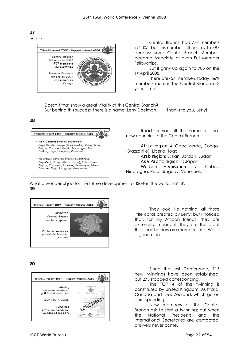**17 SHOPP A 12** 

**18** 



Central Branch had 777 members in 2005, but this number fell quickly to 487 because some Central Branch Members became Associate or even Full Member Fellowships.

But it grew up again to 705 on the 1st April 2008.

There are757 members today, 56% members more in the Central Branch in 3 years time!

Doesn't that show a great vitality of this Central Branch? But behind this success, there is a name: Leny Doelman. Thanks to you, Leny!

Triennial report ISGF - Repport triennal AISG New Central Branch countries: Cape Verde, Congo (Brazzaville), Cuba, Iran,<br>Japan, Jordan, Liberia, Nicaragua, Peru, Sudan, Togo, Uruguay, Venezuela Nouveaux pays de Branche centrale: Cap-Vert, Congo (Brazzaville), Cuba, Iran, Sup-Verli, Songo (Orazzavino), Saba, Iran,<br>Japon, Jordanie, Liberia, Nicaragua, Pérou,<br>Soudan, Togo, Uruguay, Venezuela

Read for yourself the names of the new countries of the Central Branch.

*Africa region*: 4: Cape Verde, Congo (Brazzaville), Liberia, Togo *Arab region*: 3: Iran, Jordan, Sudan *Asia Pacific region*: 1: Japan *Western Hemisphere*: 5: Cuba, Nicaragua, Peru, Uruguay, Venezuela

What a wonderful job for the future development of ISGF in the world, isn't it? **19** 



**20** 



organisation.

little cards created by Leny: but I noticed that, for my African friends, they are extremely important; they are the proof that their holders are members of a World

They look like nothing, all those

Since the last Conference, 115 new twinnings have been established, but 273 stopped corresponding.

The TOP 4 of the twinning is constituted by United Kingdom, Australia, Canada and New Zealand, which go on corresponding.

New members of the Central Branch ask to start a twinning; but when the National Presidents and the International Secretaries are contacted, answers never come.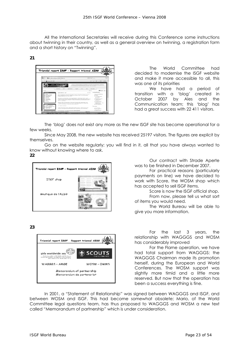All the International Secretaries will receive during this Conference some instructions about twinning in their country, as well as a general overview on twinning, a registration form and a short history on "Twinning".

**21** 



The World Committee had decided to modernise the ISGF website and make it more accessible to all, this was one of its priorities

We have had a period of transition with a 'blog' created in October 2007 by Ales and the Communication team; this 'blog' has had a great success with 22 411 visitors.

The 'blog' does not exist any more as the new ISGF site has become operational for a few weeks.

Since May 2008, the new website has received 25197 visitors. The figures are explicit by themselves.

Go on the website regularly; you will find in it, all that you have always wanted to know without knowing where to ask. **22** 



Our contract with Strade Aperte was to be finished in December 2007.

For practical reasons (particularly payments on line) we have decided to work with Score, the WOSM shop which has accepted to sell ISGF items.

Score is now the ISGF official shop. From now, please tell us what sort of items you would need.

The World Bureau will be able to give you more information.

**23** 



For the last 3 years, the relationship with WAGGGS and WOSM has considerably improved

For the Flame operation, we have had total support from WAGGGS: the WAGGGS Chairman made its promotion herself, during the European and World Conferences. The WOSM support was slightly more timid and a little more reserved. But now that the operation has been a success everything is fine.

In 2001, a "Statement of Relationship" was signed between WAGGGS and ISGF, and between WOSM and ISGF. This had become somewhat obsolete; Mario, of the World Committee legal questions team, has thus proposed to WAGGGS and WOSM a new text called "Memorandum of partnership" which is under consideration.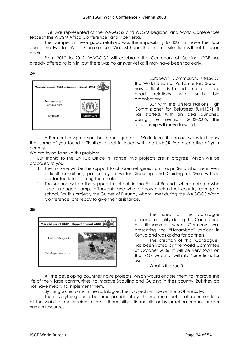ISGF was represented at the WAGGGS and WOSM Regional and World Conferences (except the WOSM Africa Conference) and vice versa.

The damper in these good relations was the impossibility for ISGF to have the floor during the two last World Conferences. We just hope that such a situation will not happen again.

From 2010 to 2012, WAGGGS will celebrate the Centenary of Guiding; ISGF has already offered to join in, but there was no answer yet as it may have been too early.

#### **24**



European Commission, UNESCO, the World Union of Parliamentary Scouts: how difficult it is to find time to create good relations with such big organisations!

But with the United Nations High Commissioner for Refugees (UNHCR), it has started. With an idea launched during the triennium 2002-2005, the relationship will move forward.

A Partnership Agreement has been signed at World level; it is on our website; I know that some of you found difficulties to get in touch with the UNHCR Representative of your country.

We are trying to solve this problem.

But thanks to the UNHCR Office in France, two projects are in progress, which will be proposed to you:

- 1. The first one will be the support to children refugees from Iraq in Syria who live in very difficult conditions, particularly in winter. Scouting and Guiding of Syria will be contacted later to bring them help.
- 2. The second will be the support to schools in the East of Burundi, where children who lived in refugee camps in Tanzania and who are now back in their country, can go to school. For this project, the Guides of Burundi, whom I met during the WAGGGS World Conference, are ready to give their assistance.

**25** 



The idea of this catalogue became a reality during the Conference of Lillehammer when Germany was presenting the "Harambee" project in Kenya and was asking for partners.

The creation of this "Catalogue" has been voted by the World Committee of October 2006. It will be very soon on the ISGF website, with its "directions for use".

What is it about?

All the developing countries have projects, which would enable them to improve the life of the village communities, to improve Scouting and Guiding in their country. But they do not have means to implement them.

By filling some forms in the catalogue, their projects will be on the ISGF website.

Then everything could become possible, if by chance more better-off countries look at the website and decide to assist them either financially or by practical means and/or human resources.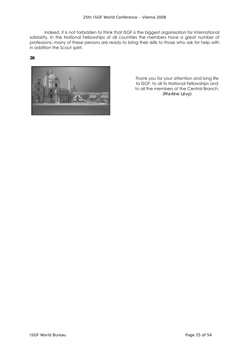Indeed, it is not forbidden to think that ISGF is the biggest organisation for international solidarity. In the National Fellowships of all countries the members have a great number of professions; many of these persons are ready to bring their skills to those who ask for help with in addition the Scout spirit.

**26** 



Thank you for your attention and long life to ISGF, to all its National Fellowships and to all the members of the Central Branch. *(Martine Lévy)*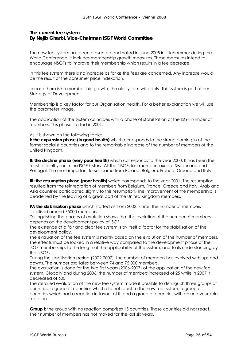# **The current fee system**  *By Nejib Gharbi, Vice-Chairman ISGF World Committee*

The new fee system has been presented and voted in June 2005 in Lillehammer during the World Conference. it includes membership growth measures. These measures intend to encourage NSGFs to improve their membership which results in a fee decrease.

In this fee system there is no increase as far as the fees are concerned. Any increase would be the result of the consumer price indexation.

In case there is no membership growth, the old system will apply. This system is part of our Strategy of Development.

Membership is a key factor for our Organisation health. For a better explanation we will use the barometer image.

The application of the system coincides with a phase of stabilisation of the ISGF number of members. This phase started in 2001.

As it is shown on the following table:

**I: the expansion phase (in good health)** which corresponds to the strong coming in of the former socialist countries and to the remarkable increase of the number of members of the United Kingdom.

**II: the decline phase (very poor health)** which corresponds to the year 2000. It has been the most difficult year in the ISGF history. All the NSGFs lost members except Switzerland and Portugal. The most important losses came from Poland, Belgium, France, Greece and Italy.

**III: the resumption phase (poor health)** which corresponds to the year 2001. The resumption resulted from the reintegration of members from Belgium, France, Greece and Italy. Arab and Asia countries participated slightly to this resumption. The improvement of the membership is deadened by the leaving of a great part of the United Kingdom members.

**IV: the stabilisation phase** which started as from 2002. Since, the number of members stabilised around 75000 members.

Distinguishing the phases of evolution shows that the evolution of the number of members depends on the development policy of ISGF.

The existence of a fair and clear fee system is by itself a factor for the stabilisation of the development policy.

The evaluation of the fee system is mainly based on the evolution of the number of members. The effects must be looked in a relative way compared to the development phase of the ISGF membership, to the length of the applicability of the system, and to its understanding by the NSGFs.

During the stabilisation period (2002-2007), the number of members has evolved with ups and downs. The number oscillates between 74 and 75 000 members.

The evaluation is done for the two first years (2006-2007) of the application of the new fee system. Globally and during 2006, the number of members increased of 25 while in 2007 it decreased of 600.

The detailed evaluation of the new fee system made it possible to distinguish three groups of countries: a group of countries which did not react to the new fee system, a group of countries which had a reaction in favour of it, and a group of countries with an unfavourable reaction.

**Group I**: the group with no reaction comprises 15 countries. Those countries did not react. Their number of members has not moved for the last six years.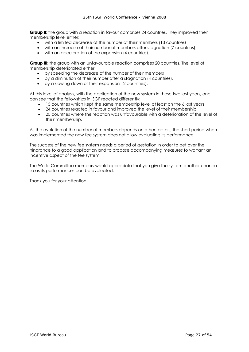**Group II:** the group with a reaction in favour comprises 24 countries. They improved their membership level either:

- with a limited decrease of the number of their members (13 countries)
- with an increase of their number of members after stagnation (7 countries),
- with an acceleration of the expansion (4 countries).

**Group III**: the group with an unfavourable reaction comprises 20 countries. The level of membership deteriorated either:

- by speeding the decrease of the number of their members
- by a diminution of their number after a stagnation (4 countries),
- by a slowing down of their expansion 12 countries).

At this level of analysis, with the application of the new system in these two last years, one can see that the fellowships in ISGF reacted differently:

- 15 countries which kept the same membership level at least on the 6 last years
- 24 countries reacted in favour and improved the level of their membership
- 20 countries where the reaction was unfavourable with a deterioration of the level of their membership.

As the evolution of the number of members depends on other factors, the short period when was implemented the new fee system does not allow evaluating its performance.

The success of the new fee system needs a period of gestation in order to get over the hindrance to a good application and to propose accompanying measures to warrant an incentive aspect of the fee system.

The World Committee members would appreciate that you give the system another chance so as its performances can be evaluated.

Thank you for your attention.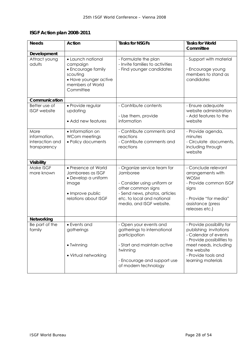# **ISGF Action plan 2008-2011**

| <b>Needs</b>                                            | <b>Action</b>                                                                                                             | <b>Tasks for NSGFs</b>                                                                                                                                                                  | <b>Tasks for World</b><br>Committee                                                                                                                                      |  |
|---------------------------------------------------------|---------------------------------------------------------------------------------------------------------------------------|-----------------------------------------------------------------------------------------------------------------------------------------------------------------------------------------|--------------------------------------------------------------------------------------------------------------------------------------------------------------------------|--|
| Development                                             |                                                                                                                           |                                                                                                                                                                                         |                                                                                                                                                                          |  |
| Attract young<br>adults                                 | • Launch national<br>campaign<br>• Encourage family<br>scouting<br>• Have younger active<br>members of World<br>Committee | - Formulate the plan<br>- Invite families to activities<br>- Find younger candidates                                                                                                    | - Support with material<br>- Encourage young<br>members to stand as<br>candidates                                                                                        |  |
| Communication                                           |                                                                                                                           |                                                                                                                                                                                         |                                                                                                                                                                          |  |
| Better use of<br><b>ISGF</b> website                    | • Provide regular<br>updating<br>• Add new features                                                                       | - Contribute contents<br>- Use them, provide<br>information                                                                                                                             | - Ensure adequate<br>website administration<br>- Add features to the<br>website                                                                                          |  |
| More<br>information,<br>interaction and<br>transparency | • Information on<br>WCom meetings<br>· Policy documents                                                                   | - Contribute comments and<br>reactions<br>- Contribute comments and<br>reactions                                                                                                        | - Provide agenda,<br>minutes<br>- Circulate documents,<br>including through<br>website                                                                                   |  |
| <b>Visibility</b>                                       |                                                                                                                           |                                                                                                                                                                                         |                                                                                                                                                                          |  |
| Make ISGF<br>more known                                 | • Presence at World<br>Jamborees as ISGF<br>• Develop a uniform<br>image<br>· Improve public<br>relations about ISGF      | - Organize service team for<br>Jamboree<br>- Consider using uniform or<br>other common signs<br>- Send news, photos, articles<br>etc. to local and national<br>media, and ISGF website. | - Conclude relevant<br>arrangements with<br><b>WOSM</b><br>- Provide common ISGF<br>signs<br>- Provide "for media"<br>assistance (press<br>releases etc.)                |  |
| Networking                                              |                                                                                                                           |                                                                                                                                                                                         |                                                                                                                                                                          |  |
| Be part of the<br>family                                | • Events and<br>gatherings<br>• Twinning<br>• Virtual networking                                                          | - Open your events and<br>gatherings to international<br>participation<br>- Start and maintain active<br>twinning                                                                       | - Provide possibility for<br>publishing invitations<br>- Calendar of events<br>- Provide possibilities to<br>meet needs, including<br>the website<br>- Provide tools and |  |
|                                                         |                                                                                                                           | - Encourage and support use<br>of modern technology                                                                                                                                     | learning materials                                                                                                                                                       |  |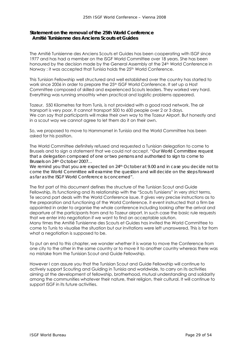# **Statement on the removal of the 25th World Conference**   *Amitié Tunisienne des Anciens Scouts et Guides*

The Amitié Tunisienne des Anciens Scouts et Guides has been cooperating with ISGF since 1977 and has had a member on the ISGF World Committee over 18 years. She has been honoured by the decision made by the General Assembly at the 24<sup>th</sup> World Conference in Norway : it was accepted that Tunisia holds the 25<sup>th</sup> World Conference.

This Tunisian Fellowship well structured and well established over the country has started to work since 2006 in order to prepare the 25<sup>th</sup> ISGF World Conference. It set up a Host Committee composed of skilled and experienced Scouts leaders. They worked very hard. Everything was running smoothly when practical and logistic problems appeared.

Tozeur, 550 Kilometres far from Tunis, is not provided with a good road network. The air transport is very poor. It cannot transport 500 to 600 people over 2 or 3 days. We can say that participants will make their own way to the Tozeur Airport. But honestly and in a scout way we cannot agree to let them do it on their own.

So, we proposed to move to Hammamet in Tunisia and the World Committee has been asked for his position.

The World Committee definitely refused and requested a Tunisian delegation to come to Brussels and to sign a statement that we could not accept. "*Our World Committee request that a delegation composed of one or two persons and authorised to sign to come to Brussels on 24th October 2007…* 

*We remind you that you are expected on 24th October at 9.00 and in case you decide not to come the World Committee will examine the question and will decide on the steps forward as far as the ISGF World Conference is concerned"*.

The first part of this document defines the structure of the Tunisian Scout and Guide Fellowship, its functioning and its relationship with the "Scouts Tunisiens" in very strict terms. Te second part deals with the World Conference issue. It gives very precise instructions as to the preparation and functioning of the World Conference. it event instructed that a firm be appointed in order to organise the whole conference including looking after the arrival and departure of the participants from and to Tozeur airport. In such case the basic rule requests that we enter into negotiation if we want to find an acceptable solution. Many times the Amitié Tunisienne des Scouts et Guides has invited the World Committee to

come to Tunis to visualise the situation but our invitations were left unanswered. This is far from what a negotiation is supposed to be.

To put an end to this chapter, we wonder whether it is worse to move the Conference from one city to the other in the same country or to move it to another country whereas there was no mistake from the Tunisian Scout and Guide Fellowship.

However I can assure you that the Tunisian Scout and Guide Fellowship will continue to actively support Scouting and Guiding in Tunisia and worldwide, to carry on its activities aiming at the development of fellowship, brotherhood, mutual understanding and solidarity among the communities whatever their nature, their religion, their cultural. It will continue to support ISGF in its future activities.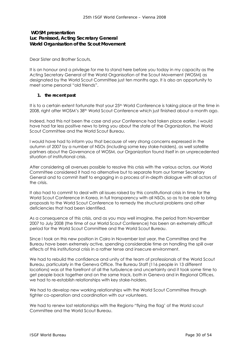# **WOSM presentation** *Luc Panissod, Acting Secretary General World Organisation of the Scout Movement*

Dear Sister and Brother Scouts,

It is an honour and a privilege for me to stand here before you today in my capacity as the Acting Secretary General of the World Organisation of the Scout Movement (WOSM) as designated by the World Scout Committee just ten months ago. It is also an opportunity to meet some personal "old friends".

#### **1. the recent past**

It is to a certain extent fortunate that your 25<sup>th</sup> World Conference is taking place at the time in 2008, right after WOSM's 38th World Scout Conference which just finished about a month ago.

Indeed, had this not been the case and your Conference had taken place earlier, I would have had far less positive news to bring you about the state of the Organization, the World Scout Committee and the World Scout Bureau.

I would have had to inform you that because of very strong concerns expressed in the autumn of 2007 by a number of NSOs (including some key stake-holders), as well satellite partners about the Governance of WOSM, our Organization found itself in an unprecedented situation of institutional crisis.

After considering all avenues possible to resolve this crisis with the various actors, our World Committee considered it had no alternative but to separate from our former Secretary General and to commit itself to engaging in a process of in-depth dialogue with all actors of the crisis.

It also had to commit to deal with all issues raised by this constitutional crisis in time for the World Scout Conference in Korea, in full transparency with all NSOs, so as to be able to bring proposals to the World Scout Conference to remedy the structural problems and other deficiencies that had been identified.

As a consequence of this crisis, and as you may well imagine, the period from November 2007 to July 2008 (the time of our World Scout Conference) has been an extremely difficult period for the World Scout Committee and the World Scout Bureau.

Since I took on this new position in Cairo in November last year, the Committee and the Bureau have been extremely active, spending considerable time on handling the spill over effects of this institutional crisis in a rather tense and insecure environment.

We had to rebuild the confidence and unity of the team of professionals of the World Scout Bureau, particularly in the Geneva Office. The Bureau Staff (116 people in 13 different locations) was at the forefront of all the turbulence and uncertainty and it took some time to get people back together and on the same track, both in Geneva and in Regional Offices, we had to re-establish relationships with key stake-holders.

We had to develop new working relationships with the World Scout Committee through tighter co-operation and coordination with our volunteers.

We had to renew lost relationships with the Regions-"flying the flag' of the World scout Committee and the World Scout Bureau.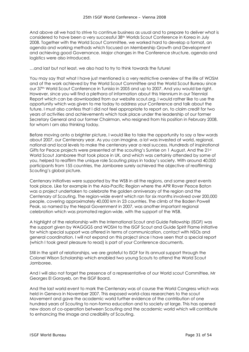And above all we had to strive to continue business as usual and to prepare to deliver what is considered to have been a very successful 38th Worlds Scout Conference in Korea in July 2008. Together with the World Scout Committee, we worked hard to develop a format, an agenda and working methods which focused on Membership Growth and Development and achieving good Governance. Major changes in the Conference structure, agenda and logistics were also introduced.

…and last but not least, we also had to try to think towards the future!

You may say that what I have just mentioned is a very restrictive overview of the life of WOSM and of the work achieved by the World Scout Committee and the World Scout Bureau since our 37th World Scout Conference in Tunisia in 2005 and up to 2007. And you would be right. However, since you will find a plethora of information about this triennium in our Triennial Report which can be downloaded from our website scout.org, I would rather like to use the opportunity which was given to me today to address your Conference and talk about the future. I must also confess that I did not feel appropriate to report on, to claim credit for two years of activities and achievements which took place under the leadership of our former Secretary General and our former Chairman, who resigned from his position in February 2008, for whom I am also thinking today.

Before moving onto a brighter picture, I would like to take the opportunity to say a few words about 2007, our Centenary year. As you can imagine, a lot was invested at world, regional, national and local levels to make the centenary year a real success. Hundreds of inspirational Gifts for Peace projects were presented at the scouting's Sunrise on 1 August. And the 21st World Scout Jamboree that took place in UK, and which was certainly attended by some of you, helped to reaffirm the unique role Scouting plays in today's society. With around 40,000 participants from 155 countries, the Jamboree surely achieved the objective of reaffirming Scouting's global picture.

Centenary initiatives were supported by the WSB in all the regions, and some great events took place. Like for example in the Asia-Pacific Region where the APR Rover Peace Baton was a project undertaken to celebrate the golden anniversary of the region and the Centenary of Scouting. The region-wide event which ran for six months involved over 200,000 people, covering approximately 40,000 km in 23 countries. The climb of the Baden Powell Peak, so named by the Nepal Government in 2007, was another important regional celebration which was promoted region-wide, with the support of the WSB.

A highlight of the relationship with the International Scout and Guide Fellowship (ISGF) was the support given by WAGGGS and WOSM to the ISGF Scout and Guide Spirit Flame initiative for which special support was offered in terms of communication, contact with NSOs and general coordination. I will not expand on this project since I have seen that a special report (which I took great pleasure to read) is part of your Conference documents.

Still in the spirit of relationships, we are grateful to ISGF for its annual support through the Colonel Wilson Scholarship which enabled two young Scouts to attend the World Scout Jamboree.

And I will also not forget the presence of a representative of our World scout Committee, Mr Georges El Gorayeb, on the ISGF Board.

And the last world event to mark the Centenary was of course the World Congress which was held in Geneva in November 2007. This exposed world-class researchers to the scout Movement and gave the academic world further evidence of the contribution of one hundred years of Scouting to non-forma education and to society at large. This has opened new doors of co-operation between Scouting and the academic world which will contribute to enhancing the image and credibility of Scouting.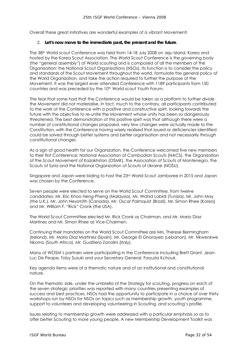Overall these great initiatives are wonderful examples of a vibrant Movement!

#### 2. **Let's now move to the immediate past, the present and the future**.

The 38th World scout Conference was held from 14-18 July 2008 on Jeju Island, Korea and hosted by the Korea Scout Association. The World Scout Conference is the governing body (the "general assembly") of World scouting and is composed of all the members of the Organization: the National Scout Organizations (NSOs). Its function is to consider the policy and standards of the Scout Movement throughout the world, formulate the general policy of the World Organization, and take the action required to further the purpose of the Movement. It was the largest ever attended Conference with 1189 participants from 150 countries and was preceded by the 10<sup>th</sup> World scout Youth Forum.

The fear that some had that the Conference would be taken as a platform to further divide the Movement did not materialise. In fact, much to the contrary, all participants contributed to the work of the Conference with a positive and constructive spirit, looking towards the future with the objective to re-unite the Movement whose unity has been so dangerously threatened. The best demonstration of this positive spirit was that although there were a number of constitutional changes proposed, very few changes were actually made to the Constitution, with the Conference having wisely realised that issued or deficiencies identified could be solved through better systems and better organisation and not necessarily through constitutional changes

As a sign of good health for our Organization, the Conference welcomed five new members to their first Conference: National Association of Cambodian Scouts (NACS), the Organization of the Scout Movement of Kazakhstan (OSMK), the Association of Scouts of Montenegro, the Scouts of Syria and the National Organization of Scouts of Ukraine (NOSU).

Singapore and Japan were biding to host the 23rd World Scout Jamboree in 2015 and Japan was chosen by the Conference.

Seven people were elected to serve on the World Scout Committee, from twelve candidates: Mr. Eric Khoo Heng-Pheng (Malaysia), Mr. Wahid Labidi (Tunisia), Mr. John May (the U.K.), Mr. John Neysmith (Canada), Mr. Oscar Palmquist (Brazil), Mr. Simon Rhee (Korea) and Mr. William F. "Rick" Cronk (the USA).

The World Scout Committee elected Mr. Rick Cronk as Chairman, and Mr. Mario Diaz Martinez and Mr. Simon Rhee as Vice-Chairmen.

Continuing their mandates on the World Scout Committee are Mrs. Therese Bermingham (Ireland), Mr. Mario Diaz Martinez (Spain), Mr. George El Ghorayeb (Lebanon), Mr. Nkwenkwe Nkomo (South Africa), Mr. Gualtiero Zanolini (Italy).

Many of WOSM's partners were participating in the Conference including Brett Grant, Jean-Luc De Peape, Toby Suzuki and your Secretary General, Faouzia Kchouk.

Key agenda items were of a thematic nature and of an institutional and constitutional nature.

On the thematic side, under the umbrella of the Strategy for scouting, progress on each of the seven strategic priorities was reported with many countries presenting examples of success and best practices. NSOs had the opportunity to participate in a choice of over thirty workshops run by NSOs for NSOs on topics such as membership growth, youth programme, support to volunteers and developing volunteering in Scouting, and scouting's profile.

Issues relating to membership growth were addressed with a particular emphasis so as to offer better Scouting to more young people. A new Membership Development Toolkit was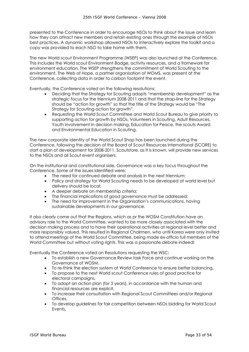presented to the Conference in order to encourage NSOs to think about the issue and learn how they can attract new members and retain existing ones through the example of NSOs best practices. A dynamic workshop allowed NSOs to interactively explore the toolkit and a copy was provided to each NSO to take home with them.

The new World scout Environment Programme (WSEP) was also launched at the Conference. This includes the World scout Environment Badge, activity resources, and a framework for environment education. The WSEP strengthens the commitment of World Scouting to the environment. The Web of Hope, a partner organisation of WOMS, was present at the Conference, collecting data in order to carbon footprint the event.

Eventually, the Conference voted on the following resolutions:

- Deciding that the Strategy for Scouting adopts "membership development" as the strategic focus for the triennium 2008-2011 and that the strap-line for the Strategy should be "action for growth" so that the title of the Strategy would be "The Strategy for Scouting-action for growth",
- Requesting the World Scout Committee and World Scout Bureau to give priority to supporting action for growth by NSOs, Volunteers in Scouting, Adult Resources, Youth involvement in decision making, Education for Peace, the scouts Award and Environmental Education in Scouting.

The new corporate identity of the World Scout Shop has been launched during the Conference, following the decision of the Board of Scout Resources International (SCORE) to start a plan of development for 2008-2011. Scoutstore, as it is known, will provide new services to the NSOs and all Scout event organisers.

On the institutional and constitutional side, Governance was a key focus throughout the Conference. Some of the issues identified were:

- The need for continued debate and analysis in the next triennium;
- Policy and strategy for World Scouting needs to be developed at world level but delivery should be local;
- A deeper debate on membership criteria;
- The financial implications of good governance must be addressed;
- The need for improvement in the Organisation's communications, having sustainable developments in our governance.

It also clearly came out that the Regions, which as pr the WOSM Constitution have an advisory role to the World Committee, wanted to be more closely associated with the decision making process and to have their operational activities at regional level better and more responsibly valued. This resulted in Regional Chairmen, who until Korea were only invited to attend meetings of the World Scout Committee, being made ex-officio full members of the World Committee but without voting rights. This was a passionate debate indeed!

Eventually the Conference voted on Resolutions requesting the WSC;

- To establish a new Governance Review task Force and continue working on the Governance of WOSM,
- To re-think the election system at World Conference to ensure better balancing,
- To propose to the next World scout Conference rules of good practice for electoral campaigns,
- To adopt an action plan (for 3 years), in accordance with the human and financial resources are explicit,
- To increase their consultation with Regional Scout Committees and/or Regional Offices,
- To develop guidelines for fair competition between NSOs bidding for World Scout Events,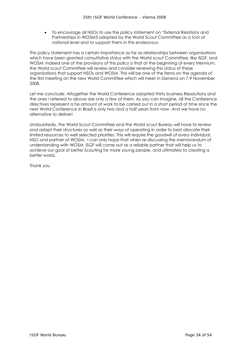• To encourage all NSOs to use the policy statement on "External Relations and Partnerships in WOSM3 adopted by the World Scout Committee as a tool at national level and to support them in this endeavour.

This policy statement has a certain importance as far as relationships between organisations which have been granted consultative status with the World scout Committee, like ISGF, and WOSM. Indeed one of the provisions of this policy is that at the beginning of every triennium, the World scout Committee will review and consider renewing this status of these organisations that support NSOs and WOSM. This will be one of the items on the agenda of the first meeting on the new World Committee which will meet in Geneva on 7-9 November 2008.

Let me conclude. Altogether the World Conference adopted thirty business Resolutions and the ones I referred to above are only a few of them. As you can imagine, all the Conference directives represent a he amount of work to be carried out in a short period of time since the next World Conference in Brazil is only two and a half years from now- And we have no alternative to deliver!

Undoubtedly, the World Scout Committee and the World scout Bureau will have to review and adapt their structures as well as their ways of operating in order to best allocate their limited resources to well selected priorities. This will require the goodwill of every individual, NSO and partner of WOSM. I can only hope that when re-discussing the memorandum of understanding with WOSM, ISGF will come out as a reliable partner that will help us to achieve our goal of better Scouting for more young people, and ultimately to creating a better world.

Thank you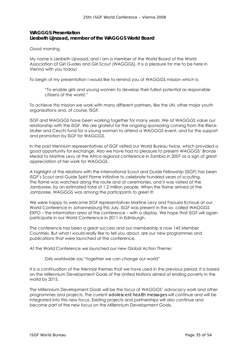# **WAGGGS Presentation**  *Liesbeth Lijnzaad, member of the WAGGGS World Board*

Good morning,

My name is Liesbeth Lijnzaad, and I am a member of the World Board of the World Association of Girl Guides and Girl Scout (WAGGGS). It is a pleasure for me to be here in Vienna with you today!

To begin of my presentation I would like to remind you of WAGGGS mission which is:

"To enable girls and young women to develop their fullest potential as responsible citizens of the world."

To achieve this mission we work with many different partners, like the UN, other major youth organisations and, of course, ISGF.

ISGF and WAGGGS have been working together for many years. We at WAGGGS value our relationship with the ISGF. We are grateful for the ongoing sponsoring coming from the Rieck-Muller and Ceschi fund for a young woman to attend a WAGGGS event, and for the support and promotion by ISGF for WAGGGS.

In the past triennium representatives of ISGF visited our World Bureau twice, which provided a good opportunity for exchange. Also we have had to pleasure to present WAGGGS' Bronze Medal to Martine Levy at the Africa regional conference in Zambia in 2007 as a sign of great appreciation of her work for WAGGGS.

A highlight of the relations with the International Scout and Guide Fellowship (ISGF) has been ISGF's Scout and Guide Spirit Flame initiative to celebrate hundred years of scouting. The flame was watched along the route and at ceremonies, and it was visited at the Jamboree, by an estimated total of 1.2 million people. When the flame arrived at the Jamboree, WAGGGS was among the participants to greet it!

We were happy to welcome ISGF representatives Martine Levy and Faouzia Kchouk at our World Conference in Johannesburg this July. ISGF was present in the so- called WAGGGS EXPO – the information area at the conference – with a display. We hope that ISGF will again participate in our World Conference in 2011 in Edinburgh.

The conference has been a great success and our membership is now 145 Member Countries. But what I would really like to tell you about, are our new programmes and publications that were launched at the conference.

At the World Conference we launched our new Global Action Theme:

Girls worldwide say "together we can change our world"

It is a continuation of the triennial themes that we have used in the previous period. It is based on the Millennium Development Goals of the United Nations aimed at ending poverty in the world by 2015.

The Millennium Development Goals will be the focus of WAGGGS' advocacy work and other programmes and projects. The current *adolescent health messages* will continue and will be integrated into this new focus. Existing projects and partnerships will also continue and become part of the new focus on the Millennium Development Goals.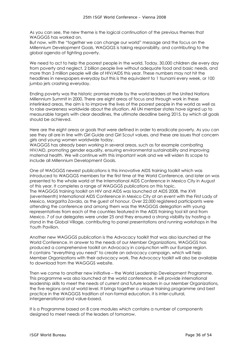As you can see, the new theme is the logical continuation of the previous themes that WAGGGS has worked on.

But now, with the "together we can change our world" message and the focus on the Millennium Development Goals, WAGGGS is taking responsibility, and contributing to the global agenda of fighting poverty.

We need to act to help the poorest people in the world. Today, 30,000 children die every day from poverty and neglect, 2 billion people live without adequate food and basic needs, and more than 3 million people will die of HIV/AIDS this year. These numbers may not hit the headlines in newspapers everyday but this is the equivalent to 1 tsunami every week, or 100 jumbo jets crashing everyday.

Ending poverty was the historic promise made by the world leaders at the United Nations Millennium Summit in 2000. There are eight areas of focus and through work in these interlinked areas, the aim is to improve the lives of the poorest people in the world as well as to raise awareness worldwide about the situation. All UN member states have signed up to measurable targets with clear deadlines, the ultimate deadline being 2015, by which all goals should be achieved.

Here are the eight areas or goals that were defined in order to eradicate poverty. As you can see they all are in line with Girl Guide and Girl Scout values, and these are issues that concern girls and young women worldwide today.

WAGGGS has already been working in several areas, such as for example combating HIV/AID, promoting gender equality, ensuring environmental sustainability and improving maternal health. We will continue with this important work and we will widen its scope to include all Millennium Development Goals.

One of WAGGGS newest publications is this innovative AIDS training toolkit which was introduced to WAGGGS members for the first time at the World Conference, and later on was presented to the whole world at the International AIDS Conference in Mexico City in August of this year. It completes a range of WAGGGS publications on this topic. The WAGGGS training toolkit on HIV and AIDS was launched at AIDS 2008, the XVII (seventeenth) International AIDS Conference in Mexico City at an event with the First Lady of Mexico, Margarita Zavala, as the guest of honour. Over 22,000 registered participants were attending the conference and among them was the WAGGGS delegation with young representatives from each of the countries featured in the AIDS training tool kit and from Mexico. 7 of our delegates were under 25 and they ensured a strong visibility by hosting a stand in the Global Village, contributing to panel presentations and running workshops in the Youth Pavilion.

Another new WAGGGS publication is the Advocacy toolkit that was also launched at the World Conference. In answer to the needs of our Member Organizations, WAGGGS has produced a comprehensive toolkit on Advocacy in conjunction with our Europe region. It contains "everything you need" to create an advocacy campaign, which will help Member Organizations with their advocacy work. The Advocacy toolkit will also be available to download from the WAGGGS website.

Then we come to another new initiative – the World Leadership Development Programme. This programme was also launched at the world conference. It will provide international leadership skills to meet the needs of current and future leaders in our Member Organizations, the five regions and at world level. It brings together a unique training programme and best practice in the WAGGGS tradition of non-formal education, it is inter-cultural, intergenerational and value-based.

It is a Programme based on 8 core modules which contains a number of components designed to meet needs of the leaders of tomorrow.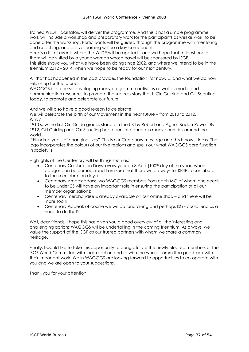Trained WLDP Facilitators will deliver the programme. And this is not a simple programme, work will include a workshop and preparatory work for the participants as well as work to be done after the workshop. Participants will be guided through the programme with mentoring and coaching, and active learning will be a key component.

Here is a list of events where the WLDP will be applied – and we hope that at least one of them will be visited by a young woman whose travel will be sponsored by ISGF.

This slide shows you what we have been doing since 2002, and where we intend to be in the triennium 2012 – 2014, when we hope to be ready for our next century.

All that has happened in the past provides the foundation, for now….. and what we do now, sets us up for the future!

WAGGGS is of course developing many programme activities as well as media and communication resources to promote the success story that is Girl Guiding and Girl Scouting today, to promote and celebrate our future.

And we will also have a good reason to celebrate:

We will celebrate the birth of our Movement in the near future – from 2010 to 2012. Why?

1910 saw the first Girl Guide groups started in the UK by Robert and Agnes Baden-Powell. By 1912, Girl Guiding and Girl Scouting had been introduced in many countries around the world.

 "Hundred years of changing lives". This is our Centenary message and this is how it looks. The logo incorporates the colours of our five regions and spells out what WAGGGS core function in society is

Highlights of the Centenary will be things such as:

- Centenary Celebration Days: every year on 8 April (100<sup>th</sup> day of the year) when badges can be earned; (and I am sure that there will be ways for ISGF to contribute to these celebration days)
- Centenary Ambassadors: two WAGGGS members from each MO of whom one needs to be under 25 will have an important role in ensuring the participation of all our member organisations:
- Centenary merchandise is already available on our online shop and there will be more soon!
- Centenary Appeal: of course we will do fundraising and perhaps ISGF could lend us a hand to do that?

Well, dear friends, I hope this has given you a good overview of all the interesting and challenging actions WAGGGS will be undertaking in the coming triennium. As always, we value the support of the ISGF as our trusted partners with whom we share a common heritage.

Finally, I would like to take this opportunity to congratulate the newly elected members of the ISGF World Committee with their election and to wish the whole committee good luck with their important work. We in WAGGGS are looking forward to opportunities to co-operate with you and we are open to your suggestions.

Thank you for your attention.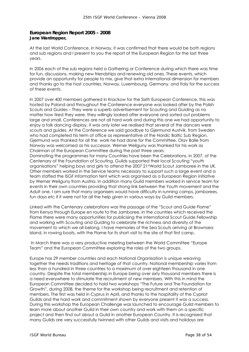# **European Region Report 2005 – 2008 Jane Wardropper,**

At the last World Conference, in Norway, it was confirmed that there would be both regions and sub regions and I present to you the report of the European Region for the last three years.

In 2006 each of the sub regions held a Gathering or Conference during which there was time for fun, discussions, making new friendships and renewing old ones. These events, which provide an opportunity for people to mix, give that extra international dimension for members and thanks go to the host countries, Norway, Luxembourg, Germany, and Italy for the success of these events.

In 2007 over 400 members gathered in Krackow for the Sixth European Conference, this was hosted by Poland and throughout the Conference everyone was looked after by the Polish Scouts and Guides – They were a superb advertisement for Scouting and Guiding as no matter how tired they were, they willingly looked after everyone and sorted out problems large and small. Conferences are not all hard work and during this one we had opportunity to enjoy a folk dancing display, it was only later we realised that several of the dancers were scouts and guides. At the Conference we said goodbye to Gjermund Austvik, from Sweden who had completed his term of office as representative of the Nordic Baltic Sub Region, Gjermund was thanked for all the work he had done for the Committee. Olav Balle from Norway was welcomed as his successor. Werner Weilguny was thanked for his work as Chairman of the European Committee during the past three years.

Dominating the programmes for many Countries have been the Celebrations, in 2007, of the Centenary of the Foundation of Scouting. Guilds supported their local Scouting "youth organisations" helping boys and girls to attend the 2007 21stWorld Scout Jamboree in the UK. Other members worked in the Service teams necessary to support such a large event and a team staffed the ISGF Information tent which was organised as a European Region initiative by Werner Weilguny from Austria. In addition many Guild members worked in service team for events in their own countries providing that strong link between the Youth movement and the Adult one. I am sure that many organisers would have difficulty in running camps, jamborees, fun days etc if it were not for all the help given in various ways by Guild members.

Linked with the Centenary celebrations was the passage of the "Scout and Guide Flame" from Kenya through Europe en route to the Jamboree. In the countries which received the Flame there were many opportunities for publicising the International Scout Guide Fellowship and working with Scouting and Guiding to celebrate the richness and diversity of the movement to which we all belong. I have memories of the Sea Scouts arriving at Brownsea Island, in rowing boats, with the Flame for its short visit to the site of that first camp.

 In March there was a very productive meeting between the World Committee "Europe Team" and the European Committee exploring the roles of the two groups.

Europe has 29 member countries and each National Organisation is unique weaving together the needs traditions and heritage of that country. National membership varies from less than a hundred in three countries to a maximum of over eighteen thousand in one country. Despite the total membership in Europe being over sixty thousand members there is a need everywhere to stimulate the recruitment of new members. With this in mind the European Committee decided to hold two workshops "The Future and The Foundation for Growth", during 2008, the theme for the workshop being recruitment and retention of members. The first was held in Cyprus in April, and thanks to the hospitality of the Cypriot Guilds and the hard work and commitment shown by everyone present it was a success. During this workshop the European Challenge was launched to encourage Guild members to learn more about another Guild in their own country and work with them on a specific project and then find out about a Guild in another European Country. It is recognised that many Guilds are very successfully twinned with other Guilds and visits and holidays are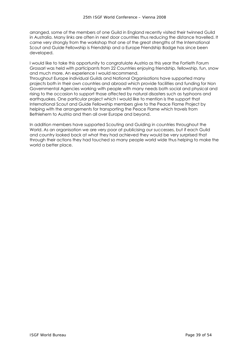arranged, some of the members of one Guild in England recently visited their twinned Guild in Australia. Many links are often in next door countries thus reducing the distance travelled. It came very strongly from the workshop that one of the great strengths of the International Scout and Guide Fellowship is Friendship and a Europe Friendship Badge has since been developed.

I would like to take this opportunity to congratulate Austria as this year the Fortieth Forum Grossarl was held with participants from 22 Countries enjoying friendship, fellowship, fun, snow and much more. An experience I would recommend.

Throughout Europe individual Guilds and National Organisations have supported many projects both in their own countries and abroad which provide facilities and funding for Non Governmental Agencies working with people with many needs both social and physical and rising to the occasion to support those affected by natural disasters such as typhoons and earthquakes. One particular project which I would like to mention is the support that International Scout and Guide Fellowship members give to the Peace Flame Project by helping with the arrangements for transporting the Peace Flame which travels from Bethlehem to Austria and then all over Europe and beyond.

In addition members have supported Scouting and Guiding in countries throughout the World. As an organisation we are very poor at publicising our successes, but if each Guild and country looked back at what they had achieved they would be very surprised that through their actions they had touched so many people world wide thus helping to make the world a better place.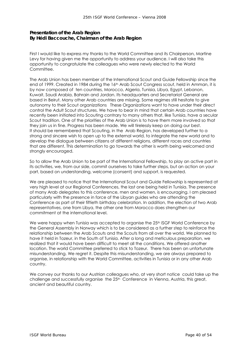# **Presentation of the Arab Region**  *By Hédi Baccouche, Chairman of the Arab Region*

First I would like to express my thanks to the World Committee and its Chairperson, Martine Levy for having given me the opportunity to address your audience. I will also take this opportunity to congratulate the colleagues who were newly elected to the World Committee.

The Arab Union has been member of the International Scout and Guide Fellowship since the end of 1999. Created in 1984 during the 16<sup>th</sup> Arab Scout Congress scout, held in Amman, it is by now composed of ten countries, Morocco, Algeria, Tunisia, Libya, Egypt, Lebanon, Kuwait, Saudi Arabia, Bahrain and Jordan. Its headquarters and Secretariat General are based in Beirut. Many other Arab countries are missing. Some regimes still hesitate to give autonomy to their Scout organizations These Organizations want to have under their direct control the Adult Scout structures. We have to bear in mind that certain Arab countries have recently been initiated into Scouting contrary to many others that, like Tunisia, have a secular Scout tradition. One of the priorities of the Arab Union is to have them more involved so that they join us in fine. Progress has been made. We will tirelessly keep on doing our best. It should be remembered that Scouting, in the Arab Region, has developed further to a strong and sincere wish to open up to the external world, to integrate the new world and to develop the dialogue between citizens of different religions, different races and countries that are different. This determination to go towards the other is worth being welcomed and strongly encouraged.

So to allow the Arab Union to be part of the International Fellowship, to play an active part in its activities, we, from our side, commit ourselves to take further steps, but an action on your part, based on understanding, welcome (consent) and support, is requested.

We are pleased to notice that the International Scout and Guide Fellowship is represented at very high level at our Regional Conferences, the last one being held in Tunisia. The presence of many Arab delegates to this conference, men and women, is encouraging. I am pleased particularly with the presence in force of the Libyan guides who are attending the Conference as part of their fiftieth birthday celebration. In addition, the election of two Arab representatives, one from Libya, the other one from Morocco does strengthen our commitment at the international level.

We were happy when Tunisia was accepted to organise the 25<sup>th</sup> ISGF World Conference by the General Assembly in Norway which is to be considered as a further step to reinforce the relationship between the Arab Scouts and the Scouts from all over the world. We planned to have it held in Tozeur, in the South of Tunisia. After a long and meticulous preparation, we realized that it would have been difficult to meet all the conditions. We offered another location. The world Committee preferred to stick to Tozeur. There has been an unfortunate misunderstanding. We regret it. Despite this misunderstanding, we are always prepared to organise, in relationship with the World Committee, activities in Tunisia or in any other Arab country.

We convey our thanks to our Austrian colleagues who, at very short notice could take up the challenge and successfully organise the 25<sup>th</sup> Conference in Vienna, Austria, this great, ancient and beautiful country.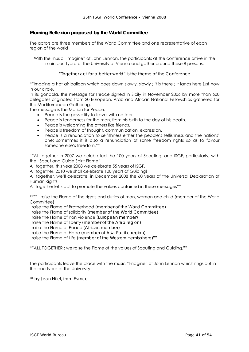# **Morning Reflexion proposed by the World Committee**

The actors are three members of the World Committee and one representative of each region of the world

With the music "Imagine" of John Lennon, the participants at the conference arrive in the main courtyard of the University of Vienna and gather around these 8 persons.

*"Together act for a better world" is the theme of the Conference* 

""Imagine a hot air balloon which goes down slowly, slowly ; it is there ; it lands here just now in our circle.

In its gondola, the message for Peace signed in Sicily in November 2006 by more than 600 delegates originated from 20 European, Arab and African National Fellowships gathered for the Mediterranean Gathering.

The message is the Motion for Peace:

- Peace is the possibility to travel with no fear.
- Peace is tenderness for the man, from his birth to the day of his death.
- Peace is welcoming the others like friends.
- Peace is freedom of thought, communication, expression.
- Peace is a renunciation to selfishness either the people's selfishness and the nations' one; sometimes it is also a renunciation of some freedom rights so as to favour someone else's freedom.""

""All together in 2007 we celebrated the 100 years of Scouting, and ISGF, particularly, with the "Scout and Guide Spirit Flame"

All together, this year 2008 we celebrate 55 years of ISGF.

All together, 2010 we shall celebrate 100 years of Guiding!

All together, we'll celebrate, in December 2008 the 60 years of the Universal Declaration of Human Rights.

All together let's act to promote the values contained in these messages""

\*\*"" I raise the Flame of the rights and duties of man, woman and child (member of the World Committee)

I raise the Flame of Brotherhood *(member of the World Committee)* 

I raise the Flame of solidarity *(member of the World Committee)* 

I raise the Flame of non violence *(European member)* 

I raise the Flame of liberty *(member of the Arab region)* 

I raise the Flame of Peace *(African member)* 

I raise the Flame of Hope *(member of Asia Pacific region)* 

I raise the Flame of Life *(member of the Western Hemisphere)*""

""ALL TOGETHER : we raise the Flame of the values of Scouting and Guiding.""

The participants leave the place with the music "Imagine" of John Lennon which rings out in the courtyard of the University.

*\*\* by Jean Hillel, from France*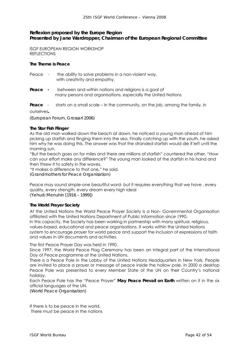# **Reflexion proposed by the Europe Region**  *Presented by Jane Wardropper, Chairman of the European Regional Committee*

ISGF EUROPEAN REGION WORKSHOP REFLECTIONS

#### **The Theme is Peace**

| Peace - | the ability to solve problems in a non-violent way, |
|---------|-----------------------------------------------------|
|         | with creativity and empathy.                        |

- **Peace** between and within nations and religions is a goal of many persons and organisations, especially the United Nations
- **Peace** starts on a small scale in the community, on the job, among the family, in

ourselves*.* 

*(European Forum, Grossarl 2006)* 

#### **The Star Fish Flinger**

As the old man walked down the beach at dawn, he noticed a young man ahead of him picking up starfish and flinging them into the sea. Finally catching up with the youth, he asked him why he was doing this. The answer was that the stranded starfish would die if left until the morning sun.

"But the beach goes on for miles and there are millions of starfish" countered the other. "How can your effort make any difference?" The young man looked at the starfish in his hand and then threw it to safety in the waves.

"It makes a difference to that one," he said. *(Grandmothers for Peace Organisation)* 

Peace may sound simple-one beautiful word- but it requires everything that we have , every quality, every strength, every dream every high ideal *(Yehudi Menuhin [1916 – 1999])* 

#### **The World Prayer Society**

At the United Nations the World Peace Prayer Society is a Non- Governmental Organisation affiliated with the United Nations Department of Public Information since 1990. In this capacity, the Society has been working in partnership with many spiritual, religious, values-based, educational and peace organisations. It works within the United Nations system to encourage prayer for world peace and support the inclusion of expressions of faith and values in UN documents and activities.

The first Peace Prayer Day was held in 1990.

Since 1997, the World Peace Flag Ceremony has been an integral part of the International Day of Peace programme at the United Nations.

There is a Peace Pole in the Lobby of the United Nations Headquarters in New York. People are invited to place a prayer or message of peace inside the hollow pole. In 2000 a desktop Peace Pole was presented to every Member State of the UN on their Country's national holiday.

Each Peace Pole has the "Peace Prayer" **May Peace Prevail on Earth** written on it in the six official languages of the UN.

*(World Peace Organisation)* 

If there is to be peace in the world, There must be peace in the nations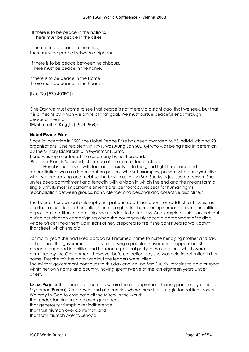If there is to be peace in the nations, There must be peace in the cities.

If there is to be peace in the cities, There must be peace between neighbours

 If there is to be peace between neighbours, There must be peace in the home.

If there is to be peace in the Home, There must be peace in the heart.

*(Lao Tzu [570-490BC])* 

One Day we must come to see that peace is not merely a distant gaol that we seek, but that it is a means by which we arrive at that goal. We must pursue peaceful ends through peaceful means.

*(Martin Luther King Jr. [1929-`968])* 

#### **Nobel Peace Price**

Since its inception in 1901 the Nobel Peace Prize has been awarded to 95 individuals and 20 organisations. One recipient, in 1991, was Aung San Suu Kyi who was being held in detention by the Military Dictatorship in Myanmar (Burma

) and was represented at the ceremony by her husband.

Professor Francis Sejersted, chairman of the committee declared:

 "Her absence fills us with fear and anxiety-----In the good fight for peace and reconciliation, we are dependant on persons who set examples, persons who can symbolise what we are seeking and mobilise the best in us. Aung San Suu Kyi is just such a person. She unites deep commitment and tenacity with a vision in which the end and the means form a single unit. Its most important elements are: democracy, respect for human rights, reconciliation between groups, non violence, and personal and collective discipline."

The basis of her political philosophy, in spirit and deed, has been her Buddhist faith, which is also the foundation for her belief in human rights. In championing human rights in her political opposition to military dictatorship, she needed to be fearless. An example of this is an incident during her election campaigning when she courageously faced a detachment of soldiers, whose officer lined them up in front of her, prepared to fire if she continued to walk down that street, which she did.

For many years she had lived abroad but returned home to nurse her dying mother and saw at first hand the government brutally repressing a popular movement in opposition. She became engaged in politics and headed a political party in the elections, which were permitted by the Government, however before election day she was held in detention in her home. Despite this her party won but the leaders were jailed.

The military government continues to this day and Aaung San Suu Kyi remains to be a prisoner within her own home and country, having spent twelve of the last eighteen years under arrest.

Let us Pray for the people of countries where there is oppression thinking particularly of Tibet, Myanmar (Burma), Zimbabwe, and all countries where there is a struggle for political power We pray to God to eradicate all the Misery in the world: that understanding triumph over ignorance, that generosity triumph over indifference,

that trust triumph over contempt, and that truth triumph over falsehood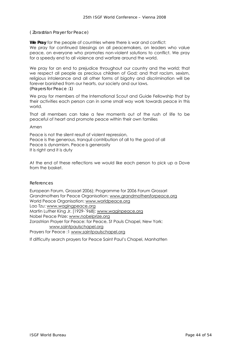#### *( Zorastrian Prayer for Peace)*

**We Pray** for the people of countries where there is war and conflict: We pray for continued blessings on all peacemakers, on leaders who value peace, on everyone who promotes non-violent solutions to conflict. We pray for a speedy end to all violence and warfare around the world.

We pray for an end to prejudice throughout our country and the world; that we respect all people as precious children of God; and that racism. sexism, religious intolerance and all other forms of bigotry and discrimination will be forever banished from our hearts, our society and our laws. *(Prayers for Peace :1)* 

We pray for members of the International Scout and Guide Fellowship that by their activities each person can in some small way work towards peace in this world.

That all members can take a few moments out of the rush of life to be peaceful of heart and promote peace within their own families

Amen

Peace is not the silent result of violent repression, Peace is the generous, tranquil contribution of all to the good of all Peace is dynamism. Peace is generosity It is right and it is duty

At the end of these reflections we would like each person to pick up a Dove from the basket.

#### *References*

European Forum, Grossarl 2006); Programme for 2006 Forum Grossarl Grandmothers for Peace Organisation: www.grandmothersforpeace.org World Peace Organisation: www.worldpeace.org Lao Tzu: www.wagingpeace.org Martin Luther King Jr. [1929-`968]: www.waginpeace.org Nobel Peace Prize: www.nobelprize.org Zorastrian Prayer for Peace: for Peace, St Pauls Chapel, New York: www.saintpaulschapel.org Prayers for Peace :1 www.saintpaulschapel.org

If difficulty search prayers for Peace Saint Paul's Chapel, Manhatten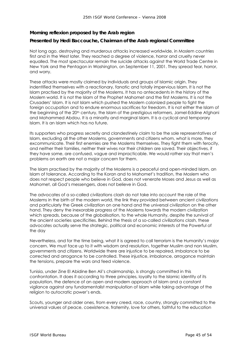# **Morning reflexion proposed by the Arab region**

## *Presented by Hedi Baccouche, Chairman of the Arab regional Committee*

Not long ago, destroying and murderous attacks increased worldwide, in Moslem countries first and in the West later. They reached a degree of violence, horror and cruelty never equalled. The most spectacular remain the suicide attacks against the World Trade Centre in New York and the Pentagon in Washington, on September 11, 2001. They spread fear, horror, and worry.

These attacks were mostly claimed by individuals and groups of Islamic origin. They indentified themselves with a reactionary, fanatic and totally impervious Islam. It is not the Islam practised by the majority of the Moslems. It has no antecedents in the history of the Moslem world. It is not the Islam of the Prophet Mahomet and the first Moslems. It is not the Crusaders' Islam. It is not Islam which pushed the Moslem colonized people to fight the foreign occupation and to endure enormous sacrifices for freedom. It is not either the Islam of the beginning of the 20<sup>th</sup> century, the Islam of the prestigious reformers, Jamel-Eddine Afghani and Mohammed Abdou. It is a minority and marginal Islam. It is a cyclical and temporary Islam. It is an Islam which has no future.

Its supporters who progress secretly and clandestinely claim to be the sole representatives of Islam, excluding all the other Moslems, governments and citizens whom, what is more, they excommunicate. Their first enemies are the Moslems themselves. They fight them with ferocity, and neither their families, neither their wives nor their children are saved. Their objectives, if they have some, are confused, vague and impracticable. We would rather say that men's problems on earth are not a major concern for them.

The Islam practised by the majority of the Moslems is a peaceful and open-minded Islam, an Islam of tolerance. According to the Koran and to Mahomet's tradition, the Moslem who does not respect people who believe in God, does not venerate Moses and Jesus as well as Mahomet, all God's messengers, does not believe in God.

The advocates of a so-called civilizations clash do not take into account the role of the Moslems in the birth of the modern world, the link they provided between ancient civilizations and particularly the Greek civilization on one hand and the universal civilization on the other hand. They deny the inexorable progress of the Moslems towards the modern civilization which spreads, because of the globalisation, to the whole Humanity, despite the survival of the ancient societies specificities. Behind the thesis of a so-called civilizations clash, these advocates actually serve the strategic, political and economic interests of the Powerful of the day

Nevertheless, and for the time being, what it is agreed to call terrorism is the Humanity's major concern. We must face up to it with wisdom and resolution, together Muslim and non Muslim, governments and citizens. Worldwide there are injustice to be repaired, imbalance to be corrected and arrogance to be controlled. These injustice, imbalance, arrogance maintain the tensions, prepare the wars and feed violence.

Tunisia, under Zine El Abidine Ben Ali's chairmanship, is strongly committed in this confrontation. It does it according to three principles, loyalty to the Islamic identity of its population, the defence of an open and modern approach of Islam and a constant vigilance against any fundamentalist manipulation of Islam while taking advantage of the religion to autocratic power's ends.

Scouts, younger and older ones, from every creed, race, country, strongly committed to the universal values of peace, coexistence, fraternity, love for others, faithful to the education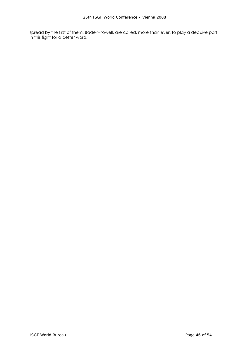spread by the first of them, Baden-Powell, are called, more than ever, to play a decisive part in this fight for a better word.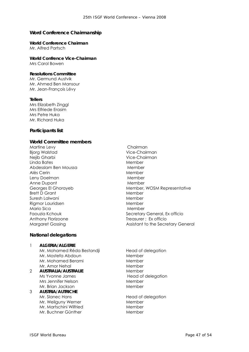# **Word Conference Chairmanship**

# **World Conference Chairman**

Mr. Alfred Partsch

**World Confrence Vice-Chairman**  Mrs Carol Bowen

#### **Resolutions Committee**

Mr. Germund Austvik Mr. Ahmed Ben Mansour Mr. Jean-François Lévy

#### **Tellers**

Mrs Elizabeth Zinggl Mrs Elfriede Erasim Mrs Petre Huka Mr. Richard Huka

#### **Participants list**

#### **World Committee members**

Martine Levy **Chairman** Bjorg Walstad Vice-Chairman Nejib Gharbi Vice-Chairman Linda Bates Member Abdesslam Ben Moussa Member Alès Cerin **Member** Leny Doelman Member Anne Dupont **Member** Member Brett D Grant Member Suresh Lalwani Member Rigmor Lauridsen Member Mario Sica **Mario Sical Accessor** Member Anthony Florizoone Treasurer ; Ex officio

#### **National delegations**

#### 1 **ALGERIA/ALGERIE**  Mr. Mohamed Réda Bestandji Head of delegation Mr. Mostefa Abdoun Member Mr. Mohamed Berami Member Mr. Amor Nehal Member

- 2 **AUSTRALIA/AUSTRALIE** Member Ms Yvonne James Head of delegation Mrs Jennifer Nelson Member Mr. Brian Jackson Member
- 3 **AUSTRIA/AUTRICHE**  Mr. Slanec Hans Head of delegation Mr. Weilguny Werner **Member** Member Mr. Martschini Wilfried Member Mr. Buchner Günther Member
- Georges El Ghorayeb Member, WOSM Representative Faouzia Kchouk **Secretary General, Ex officio** Margaret Gossing **Assistant to the Secretary General** 
	-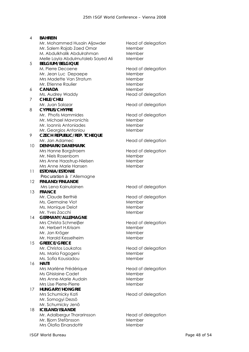- 4 **BAHREIN**  Mr. Mohammed Husain Aljawder Head of delegation Mr. Salem Rajab Zaed Omar Member M. Abdulkhalik Abdulrahman Member Melle Layla Abdulmutaleb Sayed Ali Member 5 **BELGIUM/BELGIQUE**  M. Pierre Decoene Head of delegation Mr. Jean Luc Depaepe Member Mrs Madette Van Stratum Member Mr. Etienne Raulier Member 6 **CANADA** Member Ms. Audrey Waddy Head of delegation 7 **CHILE/CHILI**  Mr. Juan Salazar **Mr. Juan Salazar Edge Executes** Head of delegation 8 **CYPRUS/CHYPRE**  Mr. Photis Mammides Head of delegation Mr. Michael Mavronichis Member Mr. Ioannis Antoniades Member Mr. Georgios Antoniou Member 9 **CZECH REPUBLIC/REP. TCHEQUE**  Mr. Jan Adamec Head of delegation 10 **DENMARK/DANEMARK**  Mrs Hanne Borgstroem Head of delegation Mr. Niels Rosenbom Member Mrs Anne Haastrup-Nielsen Member Mrs Anne Marie Hansen Member 11 **ESTONIA/ESTONIE**  *Procuration à* l'Allemagne 12 **FINLAND/FINLANDE**  Mrs Lena Kainulainen eta alderriko head of delegation 13 **FRANCE**  Mr. Claude Berthié Head of delegation Ms. Germaine Viot and Member Ms. Monique Delot Member Mr. Yves Zacchi Member 14 **GERMANY/ALLEMAGNE**  Mrs Christa Schmeiβer Head of delegation Mr. Herbert H.Krisam Member Mr. Jan Kröger Member Mr. Harald Kesselheim Member 15 **GREECE/GRECE**  Mr. Christos Loukatos **Head of delegation** Ms. Maria Fagogeni Member Ms. Sofia Kousiadou Member 16 **HAITI**  Mrs Marlène Frédérique Head of delegation Ms Ghislaine Cadet Member Mrs Anne-Marie Audain Member Mrs Lise Pierre-Pierre Member 17 **HUNGARY/HONGRIE**  Mrs Schumicky Kati Head of delegation Mr. Somogyi Dezsö Mr. Schumicky Jenö 18 **ICELAND/ISLANDE**  Mr. Adalbergur Thorarinsson Head of delegation Mr. Bjorn Stefànsson Member Mrs Olafia Einarsdottir Member
	-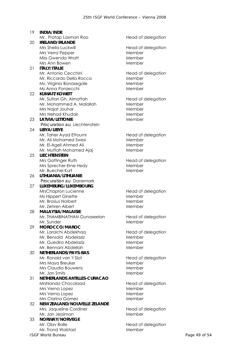**ISGF World Bureau Page 49 of 54** 19 **INDIA/INDE**  Mr. Pratap Laxman Rao Head of delegation 20 **IRELAND/IRLANDE**  Mrs Sheila Luckwill **Head of delegation** Mrs Verra Pepper Member Miss Gwenda Wratt **Member** Member Mrs Ann Bowen Member 21 **ITALY/ITALIE**  Mr. Antonio Cecchini Head of delegation Mr. Riccardo Della Rocca Member Ms. Virginia Bonasegale Member Ms Anna Ponzecchi Member 22 **KUWAIT/KOWEIT**  Mr. Sultan Gh. Almoftah Head of delegation Mr. Mohammed A. Malallah Member Mrs Najat Jouhar Member Mrs Nehad Khudair Member 23 LATVIA/LETTONIE **Member** Member *Procuration au* Liechtenstein 24 **LIBYA/LIBYE**  Mr. Taher Ayad Ettoumi Head of delegation Mr. Ali Mohamed Swissi **Mr. Ali Mohamed Swissi** Mr. El-Ageli Ahmed Ali Member Mr. Muftah Mohamed Ajaj Member 25 **LIECHTENSTEIN**  Mrs Gattinger Ruth Head of delegation Mrs Sprecher-Erne Hedy Member Mr. Buechel Kurt Member 26 **LITHUANIA/LITHUANIE**  *Procuration au* Danemark 27 **LUXEMBURG/LUXEMBOURG**  MrsChapron Lucienne Head of delegation Ms Hippert Ginette **Member** Mr. Brosius Norbert Member Mr. Zehren Albert Member 28 **MALAYSIA/MALAISIE**  Mr. THAMBINATHAN Gunaseelan Head of delegation Mr. Sunder Member 29 **MOROCCO/MAROC**  Mr. Laraichi Abdekhaq Head of delegation Mr. Bensaïd Abdelaziz Member Mr. Guedira Abdelaziz Member Mr. Bennani Abdellah Member 30 **NETHERLANDS/PAYS-BAS**  Mr. Ronald van 't Slot Head of delegation Mrs Maya Breuker Member Mrs Claudia Bouwens Member Mr. Jan Smits Member 31 **NETHERLANDS ANTILLES-CURACAO**  MrsNanda Chocolaad Head of delegation Mrs Verna Lopez Member Mrs Verna Lopez Member Mrs Clarina Gomez **Member** 32 **NEW ZEALAND/NOUVELLE ZELANDE**  Mrs. Jaqueline Cordiner **Head of delegation** Mr. Jan Jessiman Member 33 **NORWAY/NORVEGE**  Mr. Olav Balle **Head of delegation** Mr. Trond Walstad Member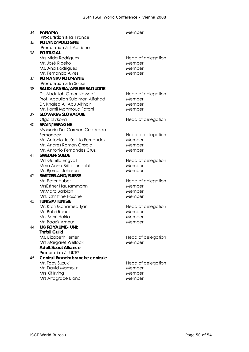| 34 | <b>PANAMA</b>                                        | Member             |
|----|------------------------------------------------------|--------------------|
| 35 | Procuration à la France<br>POLAND/POLOGNE            |                    |
|    | Procuration à l'Autriche                             |                    |
| 36 | <b>PORTUGAL</b>                                      |                    |
|    | Mrs Mida Rodrigues                                   | Head of delegation |
|    | Mr. José Ribeiro                                     | Member             |
|    | Ms. Ana Rodrigues                                    | Member             |
|    | Mr. Fernando Alves                                   | Member             |
| 37 | ROMANIA/ROUMANIE                                     |                    |
|    | <i>Procuration à la Suisse</i>                       |                    |
| 38 | <b>SAUDI ARABIA/ARABIE SAOUDITE</b>                  |                    |
|    | Dr. Abdullah Omar Nasseef                            | Head of delegation |
|    | Prof. Abdullah Sulaiman Alfahad                      | Member             |
|    | Dr. Khaled Ali Abu Alkhair                           | Member             |
|    | Mr. Kamil Mahmoud Fatani                             | Member             |
| 39 | SLOVAKIA/SLOVAQUIE                                   |                    |
|    | Olga Slivkova                                        | Head of delegation |
| 40 | <b>SPAIN/ESPAGNE</b><br>Ms Maria Del Carmen Cuadrado |                    |
|    |                                                      |                    |
|    | Fernandez<br>Mr. Antonio Jesús Lillo Fernandez       | Head of delegation |
|    | Mr. Andres Roman Onsalo                              | Member<br>Member   |
|    | Mr. Antonio Fernandez Cruz                           | Member             |
| 41 | <b>SWEDEN/SUEDE</b>                                  |                    |
|    | Mrs Gunilla Engvall                                  | Head of delegation |
|    | Mme Anna-Brita Lundahl                               | Member             |
|    | Mr. Bjornar Johnsen                                  | Member             |
| 42 | SWITZERLAND/SUISSE                                   |                    |
|    | Mr. Peter Huber                                      | Head of delegation |
|    | MrsEsther Hausammann                                 | Member             |
|    | Mr.Marc Barblan                                      | Member             |
|    | Mrs. Christine Pasche                                | Member             |
| 43 | <b>TUNISIA/TUNISIE</b>                               |                    |
|    | Mr. Ktari Mohamed Tjani                              | Head of delegation |
|    | Mr. Bahri Raouf                                      | Member             |
|    | Mrs Bahri Hakia                                      | Member             |
|    | Mr. Baaziz Ameur                                     | Member             |
| 44 | <b>UK/ROYAUME- UNI:</b>                              |                    |
|    | <b>Trefoil Guild</b>                                 |                    |
|    | Ms. Elizabeth Ferrier                                | Head of delegation |
|    | Mrs Margaret Wellock                                 | Member             |
|    | <b>Adult Scout Alliance</b>                          |                    |
|    | Procuration à UKTG                                   |                    |
| 45 | Central Branch/branche centrale                      |                    |
|    | Mr. Toby Suzuki                                      | Head of delegation |
|    | Mr. David Mansour                                    | Member             |
|    | Mrs Kit Irving                                       | Member             |
|    | Mrs Altagrace Blanc                                  | Member             |
|    |                                                      |                    |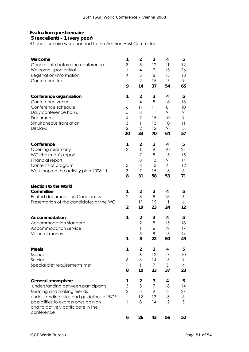# **Evaluation questionnaire**

#### *5 (excellent) – 1 (very poor)*

44 questionnaire were handed to the Austrian Host Committee

| Welcome<br>General Info before the conference<br>Welcome upon arrival<br>Registration/information<br>Conference fee                                                                                                 | 1<br>3<br>1<br>4<br>1<br>9                     | $\overline{2}$<br>5<br>4<br>3<br>$\overline{2}$<br>14                                             | 3<br>12<br>$\overline{2}$<br>8<br>15<br>37 | 4<br>11<br>13<br>13<br>17<br>54          | 5<br>12<br>26<br>18<br>9<br>65           |
|---------------------------------------------------------------------------------------------------------------------------------------------------------------------------------------------------------------------|------------------------------------------------|---------------------------------------------------------------------------------------------------|--------------------------------------------|------------------------------------------|------------------------------------------|
| Conference organisation<br>Conference venue<br>Conference schedule<br>Daily conference hours<br>Documents<br>Simultaneous translation<br><b>Displays</b>                                                            | 1<br>6<br>5<br>4<br>3<br>$\overline{2}$<br>20  | $\overline{\mathbf{c}}$<br>$\overline{4}$<br>11<br>8<br>7<br>$\mathbf{1}$<br>$\overline{2}$<br>33 | 3<br>8<br>11<br>11<br>15<br>13<br>12<br>70 | 4<br>18<br>8<br>9<br>10<br>10<br>9<br>64 | 5<br>13<br>10<br>9<br>9<br>11<br>5<br>57 |
| Conference<br>Opening ceremony<br>WC chairman's report<br>Financial report<br>Contents of program<br>Workshop on the activity plan 2008-11                                                                          | 1<br>$\overline{2}$<br>3<br>3<br>8             | $\overline{2}$<br>$\mathbf{1}$<br>7<br>8<br>8<br>7<br>31                                          | 3<br>9<br>8<br>13<br>13<br>15<br>58        | 4<br>10<br>15<br>9<br>6<br>13<br>53      | 5<br>24<br>15<br>14<br>12<br>6<br>71     |
| <b>Election to the World</b><br>Committee<br>Printed documents on Candidates<br>Presentation of the candidates at the WC                                                                                            | 1<br>$\overline{2}$<br>$\overline{\mathbf{c}}$ | $\overline{2}$<br>8<br>11<br>19                                                                   | 3<br>8<br>15<br>23                         | 4<br>13<br>11<br>24                      | 5<br>6<br>6<br>12                        |
| Accommodation<br>Accommodation standard<br>Accommodation service<br>Value of money                                                                                                                                  | 1<br>1<br>1                                    | $\overline{2}$<br>$\overline{2}$<br>1<br>5<br>8                                                   | 3<br>8<br>6<br>8<br>22                     | 4<br>15<br>19<br>16<br>50                | 5<br>18<br>17<br>14<br>49                |
| <b>Meals</b><br>Menus<br>Service<br>Special diet requirements met                                                                                                                                                   | 1<br>$\mathbf{1}$<br>6<br>1<br>8               | $\overline{2}$<br>6<br>3<br>$\mathbf{1}$<br>10                                                    | 3<br>12<br>14<br>7<br>33                   | 4<br>17<br>15<br>5<br>37                 | 5<br>10<br>9<br>4<br>23                  |
| General atmosphere<br>understanding between participants<br>Meeting and making friends<br>understanding rules and guidelines of ISGF<br>possibilities to express ones opinion<br>and to actively participate in the | 1<br>3<br>$\overline{2}$<br>1                  | $\overline{\mathbf{c}}$<br>3<br>3<br>12<br>8                                                      | 3<br>7<br>9<br>13<br>14                    | 4<br>18<br>13<br>13<br>12                | 5<br>14<br>27<br>6<br>5                  |
| conference                                                                                                                                                                                                          | 6                                              | 26                                                                                                | 43                                         | 56                                       | 52                                       |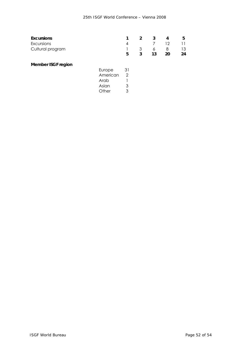| Excursions                |          | 1              | $\overline{2}$ | 3  | 4  | 5  |
|---------------------------|----------|----------------|----------------|----|----|----|
| Excursions                |          | 4              |                |    | 12 | 11 |
| Cultural program          |          |                | 3              | 6  | 8  | 13 |
|                           |          | 5              | 3              | 13 | 20 | 24 |
| <b>Member ISGF region</b> |          |                |                |    |    |    |
|                           | Europe   | 31             |                |    |    |    |
|                           | American | $\overline{2}$ |                |    |    |    |
|                           | Arab     |                |                |    |    |    |
|                           | Asian    | 3              |                |    |    |    |
|                           | Other    | 3              |                |    |    |    |
|                           |          |                |                |    |    |    |